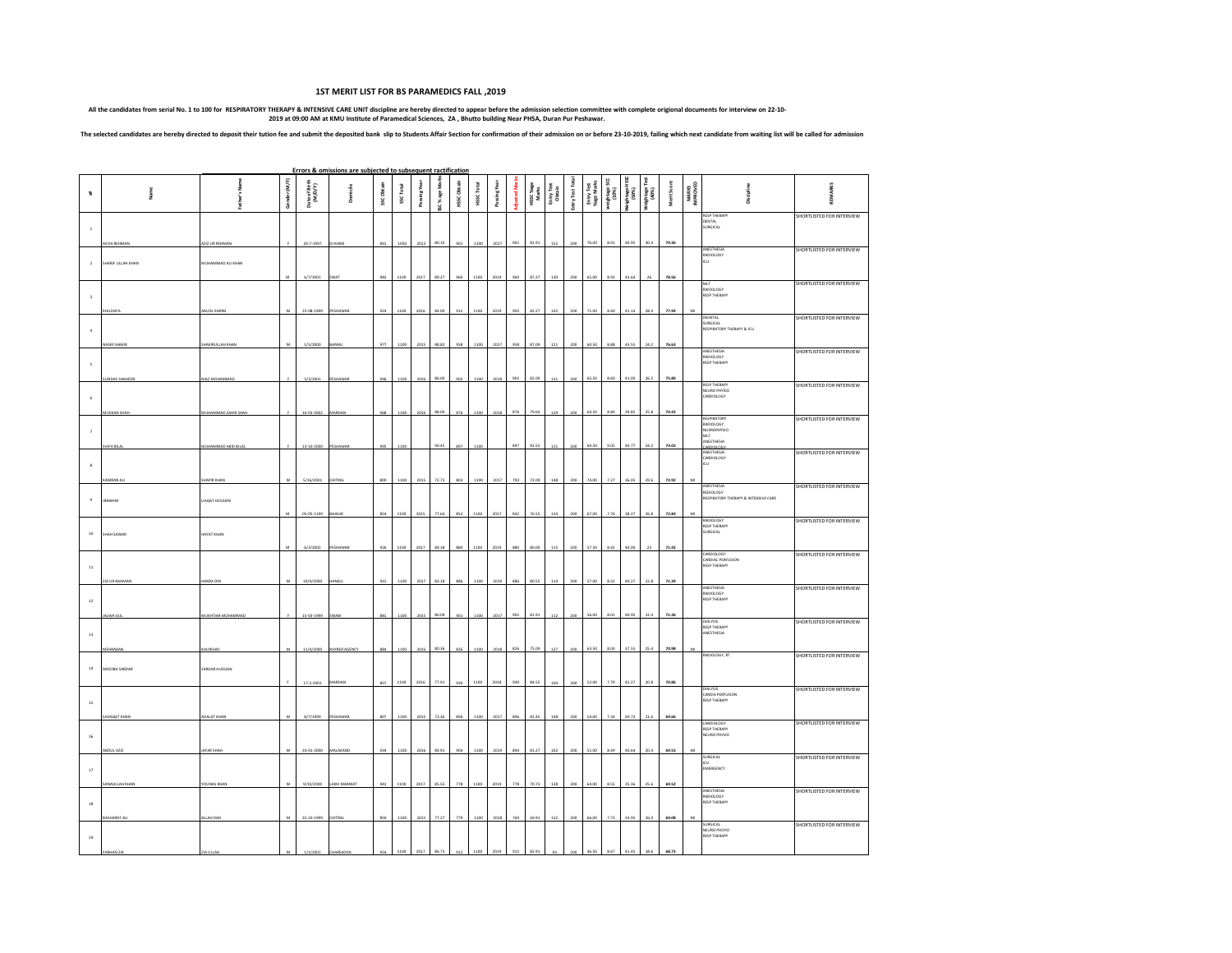## **1ST MERIT LIST FOR BS PARAMEDICS FALL ,2019**

All the candidates from serial No. 1 to 100 for RESPIRATORY THETRAPY & INTENSIVE CARE UNIT discipline are hereby directed to appear before the admission selection committee with complete origional documents for interview o

The selected candidates are hereby directed to deposit their tution fee and submit the deposited bank slip to Students Affair Section for confirmation of their admission on or before 23-10-2019, failing which next candidat

|                         |                           |                                   |              |                          | Errors & omissions are subjected to subsequent ractification |           |           |              |                |             |                  |             |     |                    |                      |                 |                          |                    |                         |                                        |             |                          |                                                                                 |                                  |
|-------------------------|---------------------------|-----------------------------------|--------------|--------------------------|--------------------------------------------------------------|-----------|-----------|--------------|----------------|-------------|------------------|-------------|-----|--------------------|----------------------|-----------------|--------------------------|--------------------|-------------------------|----------------------------------------|-------------|--------------------------|---------------------------------------------------------------------------------|----------------------------------|
| $\overline{\mathbf{u}}$ | ia me                     | ā<br>ather's                      | Gender (M/F) | Date of Birth<br>(M/D/Y) | <b>Domicile</b>                                              | SSCObtain | SSC Total | Passing Year | SC % age Marks | HSSC Obtain | <b>HSSCTotal</b> | Passing Yea |     | HSSC %age<br>Marks | Entry Test<br>Obtain | Entry Test Tota | Entry Test<br>%age Marks | weightage<br>(10%) | /eightag e HSS<br>[50%] | ě<br>(%Or)<br>. ə8e µ 8 <sub>0</sub> M | Merit Score | <b>MARKS</b><br>IMPROVED | Discipling                                                                      | 듩                                |
| $\,$ $\,$               | ASIYA REHMAN              | AZIZ UR REHMAN                    |              | 20-7-1997                | DI KHAN                                                      | 841       | 1050      | 2013         | 80.10          | 901         | 1100             | 2017        | 901 | 81.91              | 152                  | 200             | 76.00                    | 8.01               | 40.95                   | 30.4                                   | 79.36       |                          | <b>RESP THERAPY</b><br>DENTAL<br>SURGICAL                                       | SHORTLISTED FOR INTERVIEW        |
| $\overline{2}$          | HARIF ULLAH KHAN          | MUHAMMAD ALI KHAN                 | M            | 6/7/2001                 | <b>SWAT</b>                                                  | 982       | 1100      | 2017         | 89.27          | 960         | 1100             | 2019        | 960 | 87.27              | 130                  | 200             | 65.00                    | 8.93               | 43.64                   | 26                                     | 78.56       |                          | ANESTHESIA<br>RADIOLOGY<br>ιcυ                                                  | SHORTLISTED FOR INTERVIEW        |
| $\overline{\mathbf{3}}$ | <b>IUZAIF</b>             | <b>BUDL KARIM</b>                 |              | 25-08-1999               | PESHAWA                                                      |           | 1100      | 2016         | 84.00          | 915         | 1100             | 2019        | 905 | 82.27              |                      |                 | 71.00                    | 8.40               | 41.14                   | 28.4                                   | 77.94       |                          | MLT<br>RADIOLOGY<br><b>RESP THERAPY</b>                                         | SHORTLISTED FOR INTERVIEW        |
| $\cdot$                 | ASIR SHAKIR               | HAKIRULLAH KHAN                   |              | 1/5/2000                 |                                                              | 977       | 1100      | 2015         | 88.82          | 958         | 1100             | 2017        | 958 | 87.09              |                      | 200             | 60.50                    | 8.88               | 43.55                   | 24.2                                   | 76.63       |                          | DEENTAL<br>SURGICAL<br>RESPIRATORY THERAPY & ICU                                | SHORTLISTED FOR INTERVIEW        |
| $\mathsf S$             | UNDAS SHAHEEI             | NIAZ MOHAMMAI                     |              | 3/3/2001                 | PESHAWA                                                      |           |           | 201          | 86.00          |             |                  |             | 902 | 82.00              |                      |                 | 65.50                    | 8.60               | 41.00                   | 26.2                                   | 75.80       |                          | ANESTHESIA<br>RADIOLOGY<br>RESP THERAPY                                         | SHORTLISTED FOR INTERVIEW        |
| $\overline{6}$          | <b>IUSKAN SHA</b>         | <b>IUHAMMAD ZAHIR SHAF</b>        |              | 16-03-2002               | <b>MARDA</b>                                                 |           | 1100      | 201          | 88.00          |             | 1100             |             | 876 | 79.64              |                      | 200             | 64.50                    | 8.80               | 39.82                   | 25.8                                   | 74.42       |                          | <b>RESP THERAPY</b><br>NEURO PHYSIO<br>CARDIOLOGY                               | SHORTLISTED FOR INTERVIEW        |
| $\tau$                  | <b>HFABI</b>              | UHAMMAD ABID BILA                 |              | 13-10-200                | PESHA!                                                       |           |           |              | 90.45          |             |                  |             | 897 | 81.55              |                      |                 | 60.50                    | 9.05               | 40.77                   | 24.2                                   | 74.02       |                          | <b>RESPIRATORY</b><br>RADIOLOGY<br>NUEROPHYSIO<br>MLT<br>NESTHESIA<br>DO IOIDEA | SHORTLISTED FOR INTERVIEW        |
| $\,$ s                  | AMRAN A                   | HAPIR KHAN                        |              |                          | CHITRA                                                       |           |           |              | 72.73          | 80          |                  |             | 793 | 72.09              |                      |                 | 74.00                    | 7.27               | 36.05                   | 29.6                                   | 72.92       |                          | ANESTHESIA<br>CARDIOLOGY<br>ćΠ.                                                 | SHORTLISTED FOR INTERVIEW        |
| $\,9\,$                 | <b>IBRAHIM</b>            | <b>LIADAT HUSSAIN</b>             | M            | 5/16/2001<br>05-05-1199  | BAJAUR                                                       | 854       | 1100      | 2015         | 77.64          | 852         | 1100             | 2017        | 842 | 76.55              |                      | <b>or</b>       | 67.00                    | 7.76               | 38.27                   | 26.8                                   | 72.84       | M                        | ANESTHESIA<br>REDIOLOGY<br>RESPIRATORY THERAPY & INTENSIVE CARE                 | SHORTLISTED FOR INTERVIEW        |
| $^{\rm 10}$             | HAH SAWAR                 | HAYAT KHAN                        |              |                          |                                                              |           | 1100      |              |                |             | 1100             | 2019        | 880 |                    |                      |                 | 57.50                    |                    | 40.00                   | $_{23}$                                |             |                          | ADIOLOGY<br><b>RESP THERAPY</b><br><b>SURGICAL</b>                              | SHORTLISTED FOR INTERVIEW        |
| $11\,$                  |                           |                                   |              | 6/2/2002                 | PESHAWA                                                      |           |           | 2017         | 84.18          | 880         |                  |             |     |                    |                      | 200             |                          | 8.42               |                         |                                        | 71.42       |                          | CARDIOLOGY<br>CARDIAC PERFUSION<br><b>RESP THERAPY</b>                          | SHORTLISTED FOR INTERVIEW        |
| $12\,$                  | A UR RAHMAN               | AKIM DIN                          |              | 10/4/2000                |                                                              |           | 1100      | 2017         | 83.18          |             | 1100             |             | 886 | 80.55              |                      | 200             | 57.00                    | 8.32               | 40.27                   | 22.8                                   | 71.39       |                          | ANESTHESIA<br>RADIOLOGY<br><b>RESP THERAPY</b>                                  | SHORTLISTED FOR INTERVIEW        |
| $^{\rm 13}$             | LWA GUI                   | <b>JUKHTIAR MOHAMMAD</b>          |              | 15-03-1999               | <b>WARI</b>                                                  | 881       | 1100      | 2015         | 80.09          | 901         | 1100             | 2017        | 901 | 81.91              | 112                  | 200             | 56.00                    | 8.01               | 40.95                   | 22.4                                   | 71.36       |                          | DIALYSIS<br>RESP THERAPY<br>ANESTHESIA                                          | SHORTLISTED FOR INTERVIEW        |
| $14\,$                  | MEHRABAA<br>AROOBA SARDAR | KHURSHID<br><b>SARDAR HUSSAIN</b> | M            | 11/4/2000                | KHYBER AGENC                                                 | 884       | 1100      | 2016         | 80.36          | 83          | 1100             | 2018        | 826 | 75.09              | 12'                  | 200             | 63.50                    | 8.04               | 37.55                   | 25.4                                   | 70.98       | MI                       | ADIOLOGY, RT                                                                    | SHORTLISTED FOR INTERVIEW        |
| $15\,$                  |                           |                                   |              | 17-2-2001                | MARDAN                                                       | 857       | 1100      | 2016         | 77.91          | 930         | 1100             | 2018        | 930 | 84.55              | 104                  | 200             | 52.00                    | 7.79               | 42.27                   | 20.8                                   | 70.86       |                          | DIALYSIS<br>CARDIA PERFUSION<br><b>RESP THERAPY</b>                             | SHORTLISTED FOR INTERVIEW        |
| 16                      | <b>DAQAT KHAM</b>         | <b>DALAT KHAM</b>                 |              | 8/7/1999                 | PESHAWAR                                                     | 807       | 1100      | 2015         | 73.36          | 896         | 1100             | 2017        | 896 | 81.45              |                      |                 | 54.0                     | 7.34               | 40.73                   | 21.6                                   | 69.66       |                          | CARDIOLOGY<br><b>RESP THERAPY</b><br>NEURO PHYSIO                               | SHORTLISTED FOR INTERVIEW        |
| $17\,$                  | ABDUL AZQ                 | JAFAR SHAH                        | M            | 20-01-2000               | MALAKAND                                                     | 934       | 1100      | 2016         | 84.91          | 904         | 1100             | 2019        | 894 | 81.27              | 102                  | 200             | 51.00                    | 8.49               | 40.64                   | 20.4                                   | 69.53       | M                        | SURGICAL<br>CU<br>EMERGENCY                                                     | SHORTLISTED FOR INTERVIEW        |
| $^{\rm 18}$             | SANAULLAH KHAN            | YOUNAS KHAN                       | M            | 9/10/2000                | LAKKI MARWAT                                                 | 941       | 1100      | 2017         | 85.55          | 778         | 1100             | 2019        | 778 | 70.73              | 128                  | 200             | 64.00                    | 8.55               | 35.36                   | 25.6                                   | 69.52       |                          | ANESTHESIA<br>BADIOLOGY<br><b>RESP THERAPY</b>                                  | <b>SHORTLISTED FOR INTERVIEW</b> |
| $^{\rm 19}$             | <b>SHARAT A</b>           | LLAH DAD                          |              | 25-10-1999               | CHITRA                                                       |           |           |              | 77.27          |             |                  |             | 769 | 69.91              |                      |                 | 66.00                    | 7.73               | 34.95                   | 26.4                                   | 69.08       |                          | <b>URGICAL</b><br>NEURO PHSYIO<br><b>RESP THERAPY</b>                           | SHORTLISTED FOR INTERVIEW        |
|                         |                           |                                   |              |                          |                                                              |           |           |              |                |             |                  |             |     |                    |                      |                 |                          |                    |                         |                                        | 68.7        |                          |                                                                                 |                                  |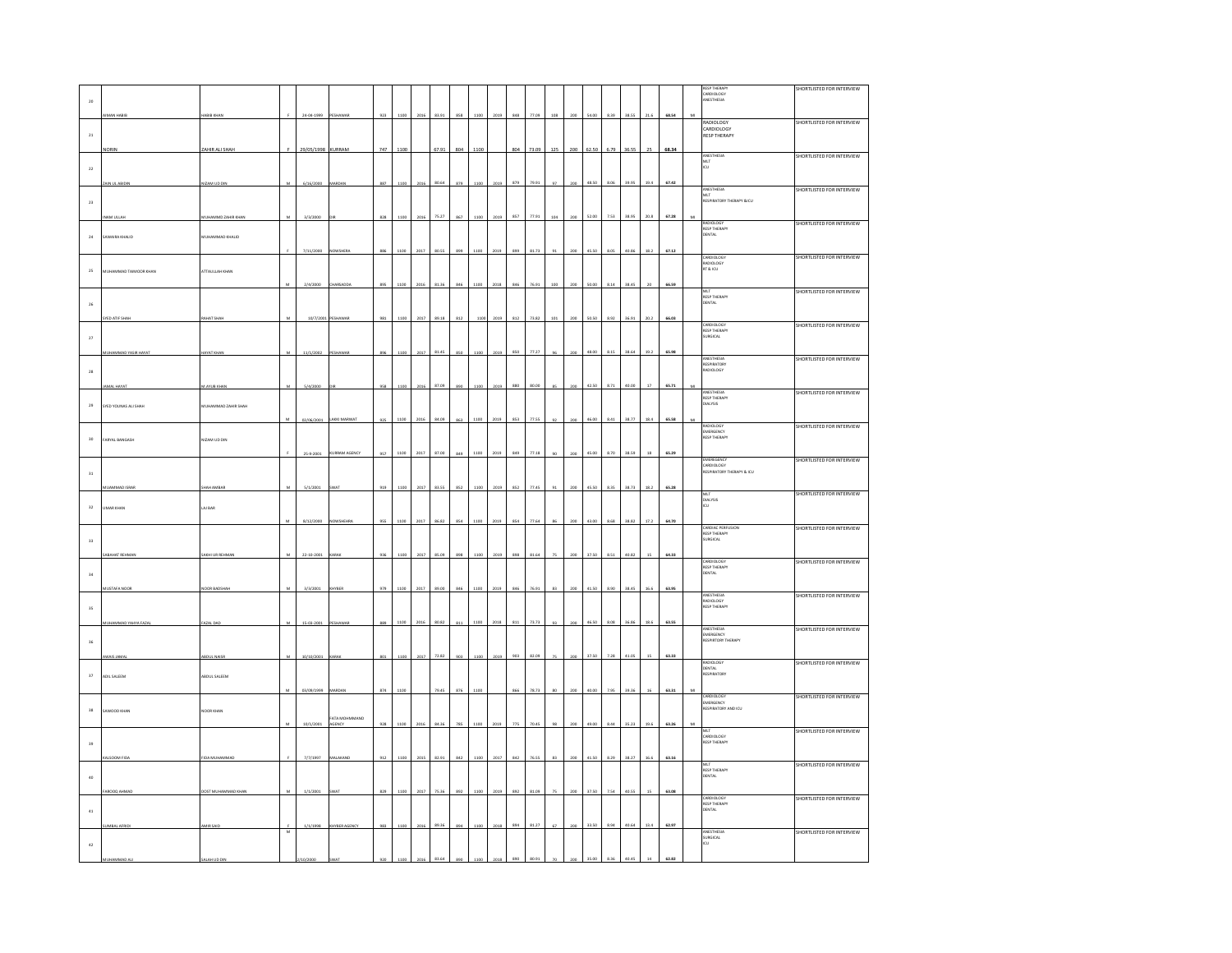|               |                       |                            |            |            |                         |     |      |      |       |     |      |      |     |       |     |     |       |          |       |        |       |                | <b>RESP THERAP</b>                                    | <b>SHORTLISTED FOR INTERVIEW</b> |
|---------------|-----------------------|----------------------------|------------|------------|-------------------------|-----|------|------|-------|-----|------|------|-----|-------|-----|-----|-------|----------|-------|--------|-------|----------------|-------------------------------------------------------|----------------------------------|
| $_{\rm 20}$   |                       |                            |            |            |                         |     |      |      |       |     |      |      |     |       |     |     |       |          |       |        |       |                | CARDIOLOGY<br>ANESTHESIA                              |                                  |
|               |                       | RIR KI                     |            | 24-04-1999 |                         | 923 |      |      |       |     |      |      |     |       |     |     |       | * 39     | 38.59 | 21.6   | 68.54 | $\overline{M}$ |                                                       |                                  |
|               |                       |                            |            |            |                         |     |      |      |       |     |      |      |     |       |     |     |       |          |       |        |       |                | RADIOLOGY<br>CARDIOLOGY                               | SHORTLISTED FOR INTERVIEW        |
| $\mathbf{21}$ |                       |                            |            |            |                         |     |      |      |       |     |      |      |     |       |     |     |       |          |       |        |       |                | <b>RESP THERAPY</b>                                   |                                  |
|               | ORIN                  | <b>ZAHIR ALI SHAH</b>      |            | 29/05/1998 | KURRAM                  | 747 | 1100 |      | 67.91 | 804 | 1100 |      | 804 | 73.09 | 125 | 200 | 62.50 | 6.79     | 36.55 | 25     | 68.34 |                |                                                       |                                  |
|               |                       |                            |            |            |                         |     |      |      |       |     |      |      |     |       |     |     |       |          |       |        |       |                | ANESTHESIA<br>MLT<br>ICU                              | SHORTLISTED FOR INTERVIEW        |
| $\bf{_{22}}$  |                       |                            |            |            |                         |     |      |      |       |     |      |      |     |       |     |     |       |          |       |        |       |                |                                                       |                                  |
|               | IN III ARINI          | ZAM UD DIN                 |            | 6/16/2000  |                         | 887 | 110  |      |       | 020 |      |      | 879 |       |     | 200 | 48.50 | 8.06     |       | 19.4   | 67.42 |                |                                                       |                                  |
|               |                       |                            |            |            |                         |     |      |      |       |     |      |      |     |       |     |     |       |          |       |        |       |                | ANESTHESIA<br>MLT<br>RESPIRATORY THERAPY &ICU         | SHORTLISTED FOR INTERVIEW        |
| $_{\rm 23}$   |                       |                            |            |            |                         |     |      |      |       |     |      |      |     |       |     |     |       |          |       |        |       |                |                                                       |                                  |
|               | AM ULLA               | UHAMMD ZAHIR KHAN          |            | 3/3/2000   |                         | 828 | 1100 | 2016 | 75.27 | 867 | 1100 | 2019 | 857 | 77.91 | 104 | 200 | 52.00 | 7.53     | 38.95 | 20.8   | 67.28 |                |                                                       | SHORTLISTED FOR INTERVIEW        |
| $_{\rm 24}$   |                       |                            |            |            |                         |     |      |      |       |     |      |      |     |       |     |     |       |          |       |        |       |                | RADIOLOGY<br>RESP THERAPY<br>DENTAL                   |                                  |
|               | SAWAIRA KHALID        | <b>ULIAMMAD KHALID</b>     |            |            |                         |     |      |      |       |     |      |      |     |       |     |     |       |          |       |        |       |                |                                                       |                                  |
|               |                       |                            |            | 7/11/2000  | NOWSHERA                | 886 | 1100 | 2017 | 80.55 |     | 1100 |      | 899 | 81.73 |     |     | 45.50 | 8.05     | 40.86 | 18.2   | 67.12 |                |                                                       | SHORTLISTED FOR INTERVIEW        |
| $_{\rm 25}$   | MUHAMMAD TAIMOOR KHAN | <b>ATTAULLAH KHAN</b>      |            |            |                         |     |      |      |       |     |      |      |     |       |     |     |       |          |       |        |       |                | CARDIOLOGY<br>RADIOLOGY<br>RT & ICU                   |                                  |
|               |                       |                            |            |            |                         |     |      |      |       |     |      |      |     |       |     |     |       |          |       |        |       |                |                                                       |                                  |
|               |                       |                            |            | 2/4/2000   | CHARSADE                |     |      | 2016 | 81.31 |     | 1100 |      | 846 |       |     |     | 50.00 | 8.14     | 38.45 | 20     | 66.59 |                |                                                       | SHORTLISTED FOR INTERVIEW        |
| $_{\rm 26}$   |                       |                            |            |            |                         |     |      |      |       |     |      |      |     |       |     |     |       |          |       |        |       |                | MLT<br>RESP THERAPY<br>DENTAL                         |                                  |
|               | ED ATIF SHA           | HAT SHA                    |            | 10/7/200   |                         | 981 |      |      | 89.18 |     |      |      | 812 | 73.82 |     |     | 50.50 | 8.92     | 36.91 | 20.2   | 66.03 |                |                                                       |                                  |
|               |                       |                            |            |            |                         |     |      |      |       |     |      |      |     |       |     |     |       |          |       |        |       |                | CARDIOLOGY<br>RESP THERAPY                            | <b>SHORTLISTED FOR INTERVIEW</b> |
| $\bf{27}$     |                       |                            |            |            |                         |     |      |      |       |     |      |      |     |       |     |     |       |          |       |        |       |                | SURGICAL                                              |                                  |
|               | HAMMAD YASIR HAYA'    | <b>NYAT KHA</b>            |            | 11/1/200   |                         |     |      |      | 81.45 |     |      |      | 850 | 77.27 |     |     | 48.00 | 8.15     | 38.64 | 19.2   | 65.98 |                |                                                       |                                  |
|               |                       |                            |            |            |                         |     |      |      |       |     |      |      |     |       |     |     |       |          |       |        |       |                | ANESTHESIA<br>RESPIRATORY<br>RADIOLOGY                | SHORTLISTED FOR INTERVIEW        |
| $_{\rm 28}$   |                       |                            |            |            |                         |     |      |      |       |     |      |      |     |       |     |     |       |          |       |        |       |                |                                                       |                                  |
|               |                       | <b>AYUB KHA</b>            |            | 5/4/21     |                         |     |      |      | 87.09 |     |      |      | 880 |       |     |     | 42.50 | 8.71     | 40.00 | $17\,$ | 65.71 |                |                                                       |                                  |
|               |                       |                            |            |            |                         |     |      |      |       |     |      |      |     |       |     |     |       |          |       |        |       |                | ANESTHESIA<br>RESP THERAPY<br>DIALYSIS                | <b>SHORTLISTED FOR INTERVIEW</b> |
| $_{\rm 29}$   | SYED YOUNAS ALI SHAH  | <b>NUHAMMAD ZAHIR SHAH</b> |            |            |                         |     |      |      |       |     |      |      |     |       |     |     |       |          |       |        |       |                |                                                       |                                  |
|               |                       |                            |            | 02/06/2001 | LAKKI MARWA             | 921 | 110  | 2016 |       |     | 110  |      | 853 |       |     |     | 46.00 | 8.41     | 38.77 | 18.4   | 65.58 |                |                                                       |                                  |
|               |                       |                            |            |            |                         |     |      |      |       |     |      |      |     |       |     |     |       |          |       |        |       |                | RADIOLOGY<br>NADIOLOGY<br>EMERGENCY<br>RESP THERAPY   | <b>SHORTLISTED FOR INTERVIEW</b> |
| $_{30}$       | ARYAL BANGASH         | IZAM UD DIN                |            |            |                         |     |      |      |       |     |      |      |     |       |     |     |       |          |       |        |       |                |                                                       |                                  |
|               |                       |                            |            |            | <b>JRRAM AGENCY</b>     | 457 | 1100 | 2017 | 87.00 |     |      |      |     |       |     |     | 45.00 | 8.70     | 38.59 | 18     | 65.29 |                |                                                       |                                  |
|               |                       |                            |            |            |                         |     |      |      |       |     |      |      |     |       |     |     |       |          |       |        |       |                | EMEREGENCY<br>CARDIOLOGY<br>RESPIRATORY THERAPY & ICU | <b>HORTLISTED FOR INTERVIEW</b>  |
| $_{31}$       |                       |                            |            |            |                         |     |      |      |       |     |      |      |     |       |     |     |       |          |       |        |       |                |                                                       |                                  |
|               |                       |                            |            | 5/1/21     |                         | 919 |      |      |       |     |      |      | 852 |       |     |     | 45.51 | 8.35     |       | 18.2   | 65.28 |                |                                                       | <b>SHORTLISTED FOR INTERVIEW</b> |
|               |                       |                            |            |            |                         |     |      |      |       |     |      |      |     |       |     |     |       |          |       |        |       |                | mlt<br>Dialysis<br>Icu                                |                                  |
| 32            | MAR KHAN              | AJ BAR                     |            |            |                         |     |      |      |       |     |      |      |     |       |     |     |       |          |       |        |       |                |                                                       |                                  |
|               |                       |                            | M          | 8/12/2000  | <b>IOWSHEHRA</b>        | 955 | 1100 | 2017 | 86.82 | 854 | 1100 | 2019 | 854 | 77.64 |     | 200 | 43.00 | 8.68     | 38.82 | 17.2   | 64.70 |                | CARDIAC PERFUSION                                     | SHORTLISTED FOR INTERVIEW        |
| $_{33}$       |                       |                            |            |            |                         |     |      |      |       |     |      |      |     |       |     |     |       |          |       |        |       |                | <b>RESP THERAPY</b><br>SURGICAL                       |                                  |
|               |                       |                            |            |            |                         |     |      |      |       |     |      |      |     |       |     |     |       |          |       |        |       |                |                                                       |                                  |
|               | <b>BAHAT REHM</b>     | KHI UR REH                 |            | 22-10-200  |                         | 936 | 110  | 201  |       |     |      |      |     |       |     | 200 | 37.50 | 8.51     | 40.8  |        | 64.33 |                | CARDIOLOGY                                            | SHORTLISTED FOR INTERVIEW        |
| $_{\rm 34}$   |                       |                            |            |            |                         |     |      |      |       |     |      |      |     |       |     |     |       |          |       |        |       |                | RESP THERAPY<br>RESP THERAPY                          |                                  |
|               | USTAFA NOO            | <b>JOR BADS</b>            |            | 3/3/2001   | YBE                     | 979 | 1100 | 2017 |       |     | 1100 | 2019 | 846 |       |     | 200 | 41.50 | 8.90     | 38.4  | 16.6   | 63.95 |                |                                                       |                                  |
|               |                       |                            |            |            |                         |     |      |      |       |     |      |      |     |       |     |     |       |          |       |        |       |                | ANESTHESIA                                            | SHORTLISTED FOR INTERVIEW        |
| $35\,$        |                       |                            |            |            |                         |     |      |      |       |     |      |      |     |       |     |     |       |          |       |        |       |                | RADIOLOGY<br>RADIOLOGY<br>RESP THERAPY                |                                  |
|               | HAMMAD YAHYA FAZA     | AZAL DAG                   |            | 15-03-2001 |                         | 889 | 1100 | 2016 | 80.82 | 81  | 1100 | 201  | 811 | 73.73 | 93  | 200 | 46.50 | 8.08     | 36.8  | 18.6   | 63.55 |                |                                                       |                                  |
|               |                       |                            |            |            |                         |     |      |      |       |     |      |      |     |       |     |     |       |          |       |        |       |                | ANESTHESIA                                            | SHORTLISTED FOR INTERVIEW        |
| $_{\rm 36}$   |                       |                            |            |            |                         |     |      |      |       |     |      |      |     |       |     |     |       |          |       |        |       |                | EMERGENCY<br>RESPIRTORY THERAPY                       |                                  |
|               | WAIS JAMA             | <b>BDUL NAISE</b>          | $_{\rm M}$ | 10/10/2001 | ARAI                    | 801 | 1100 | 2017 | 72.82 | 903 | 1100 | 2019 | 903 | 82.09 |     | 200 | 37.50 | 7.28     | 41.05 | 15     | 63.33 |                |                                                       |                                  |
|               |                       |                            |            |            |                         |     |      |      |       |     |      |      |     |       |     |     |       |          |       |        |       |                | RADIOLOGY<br>DENTAL<br>DENTAL<br>RESPIRATORY          | SHORTLISTED FOR INTERVIEW        |
| $_{\rm 37}$   | ADIL SALEEM           | <b>BDUL SALEEM</b>         |            |            |                         |     |      |      |       |     |      |      |     |       |     |     |       |          |       |        |       |                |                                                       |                                  |
|               |                       |                            |            | 03/09/1999 | MARDA                   | 874 | 1100 |      | 79.45 | 876 | 1100 |      | 866 | 78.7  |     | 200 | 40.00 | 7.95     | 39.36 | 16     | 63.31 | M              |                                                       |                                  |
|               |                       |                            |            |            |                         |     |      |      |       |     |      |      |     |       |     |     |       |          |       |        |       |                | CARDIOLOGY<br>EMERGENCY<br>RESPIRATORY AND ICU        | SHORTLISTED FOR INTERVIEW        |
| 38            | WOOD KHAN             | OOR KHAN                   |            |            |                         |     |      |      |       |     |      |      |     |       |     |     |       |          |       |        |       |                |                                                       |                                  |
|               |                       |                            |            | 10/1/2001  | FATA MOHMMAND<br>AGENCY | 928 | 1100 | 2016 | 84.36 | 785 | 1100 | 2019 | 775 | 70.45 |     | 200 | 49.00 | $8.44\,$ | 35.23 | 19.6   | 63.26 | M              |                                                       |                                  |
|               |                       |                            |            |            |                         |     |      |      |       |     |      |      |     |       |     |     |       |          |       |        |       |                | MLT<br>CARDIOLOGY<br>RESP THERAPY                     | SHORTLISTED FOR INTERVIEW        |
| 39            |                       |                            |            |            |                         |     |      |      |       |     |      |      |     |       |     |     |       |          |       |        |       |                |                                                       |                                  |
|               |                       |                            |            |            |                         |     |      |      |       |     |      |      |     |       |     |     |       |          |       |        | 63.16 |                |                                                       | SHORTLISTED FOR INTERVIEW        |
|               |                       |                            |            |            |                         |     |      |      |       |     |      |      |     |       |     |     |       |          |       |        |       |                | MLT<br>RESP THERAPY<br>DENTAL                         |                                  |
| $40\,$        |                       |                            |            |            |                         |     |      |      |       |     |      |      |     |       |     |     |       |          |       |        |       |                |                                                       |                                  |
|               |                       | <b>ST MUHA</b>             |            |            |                         |     |      |      |       |     |      |      |     |       |     |     | 37.50 | 7.54     | 40.55 |        | 63.08 |                |                                                       | SHORTLISTED FOR INTERVIEW        |
| $4\mathbf{1}$ |                       |                            |            |            |                         |     |      |      |       |     |      |      |     |       |     |     |       |          |       |        |       |                | CARDIOLOGY<br>RESP THERAPY<br><b>ENTAL</b>            |                                  |
|               |                       |                            |            |            |                         |     |      |      |       |     |      |      |     |       |     |     |       |          |       |        |       |                |                                                       |                                  |
|               |                       |                            | M          |            |                         |     |      |      |       |     |      |      |     |       |     |     |       | 894      |       | 13.4   | 62.97 |                | ANESTHESIA                                            | SHORTLISTED FOR INTERVIEW        |
| $42\,$        |                       |                            |            |            |                         |     |      |      |       |     |      |      |     |       |     |     |       |          |       |        |       |                | SURGICAL<br>ICU                                       |                                  |
|               |                       |                            |            |            |                         |     |      |      |       |     |      |      |     |       |     |     |       |          |       |        |       |                |                                                       |                                  |
|               |                       |                            |            |            |                         |     |      |      |       |     |      |      |     |       |     |     |       |          |       |        |       |                |                                                       |                                  |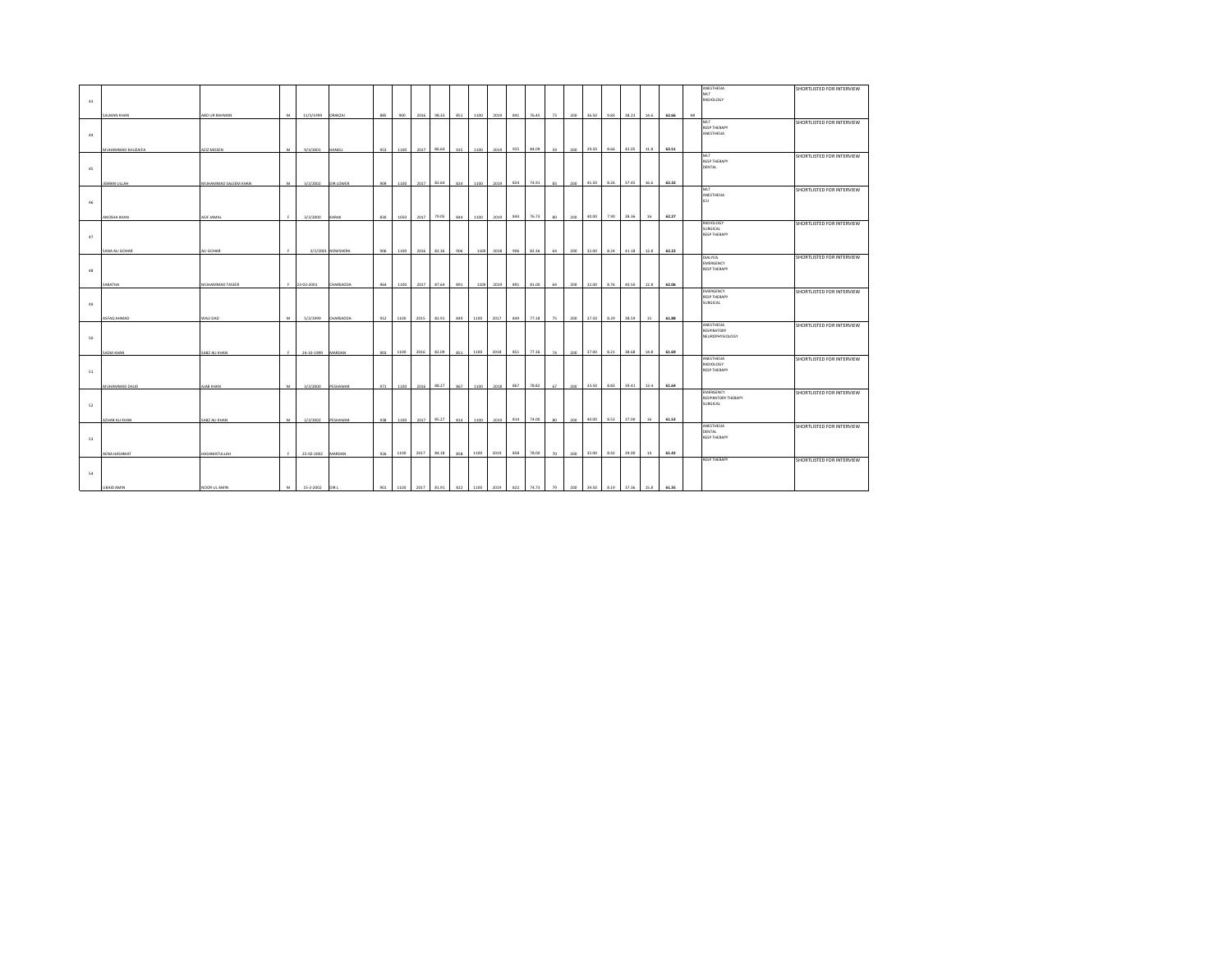|    |                       |                        |              |                |                   |     |      |      |       |     |      |           |     |                                                                     |                 |     |       |      |       |        |       |    | ANESTHESIA<br>MLT                | SHORTLISTED FOR INTERVIEW |
|----|-----------------------|------------------------|--------------|----------------|-------------------|-----|------|------|-------|-----|------|-----------|-----|---------------------------------------------------------------------|-----------------|-----|-------|------|-------|--------|-------|----|----------------------------------|---------------------------|
| 43 |                       |                        |              |                |                   |     |      |      |       |     |      |           |     |                                                                     |                 |     |       |      |       |        |       |    | RADIOLOGY                        |                           |
|    | SALMAN KHAN           | ABD UR RAHMAN          | M            | 11/3/1999      | <b>ORAKZAI</b>    | 885 | 900  | 2016 | 98.33 | 851 | 1100 | 2019      | 841 | 76.45                                                               | 73              | 200 | 36.50 | 9.83 | 38.23 | 14.6   | 62.66 | MI |                                  |                           |
|    |                       |                        |              |                |                   |     |      |      |       |     |      |           |     |                                                                     |                 |     |       |      |       |        |       |    | MLT<br><b>RESP THERAPY</b>       | SHORTLISTED FOR INTERVIEW |
| 44 |                       |                        |              |                |                   |     |      |      |       |     |      |           |     |                                                                     |                 |     |       |      |       |        |       |    | ANESTHESIA                       |                           |
|    | MUHAMMAD KHUZAIFA     | AZIZ MOEEN             | M.           | 9/3/2001       | <b>HANGU</b>      | 953 | 1100 | 2017 | 86.64 | 925 | 1100 | 2019      | 925 | 84.09                                                               | 59              | 200 | 29.50 | 8.66 | 42.05 | 11.8   | 62.51 |    |                                  |                           |
|    |                       |                        |              |                |                   |     |      |      |       |     |      |           |     |                                                                     |                 |     |       |      |       |        |       |    | MLT                              | SHORTLISTED FOR INTERVIEW |
| 45 |                       |                        |              |                |                   |     |      |      |       |     |      |           |     |                                                                     |                 |     |       |      |       |        |       |    | <b>RESP THERAPY</b><br>DENTAL    |                           |
|    |                       |                        |              |                |                   |     |      |      |       |     |      |           |     |                                                                     |                 |     |       |      |       |        |       |    |                                  |                           |
|    | JEBRAN ULLAH          | MUHAMMAD SALEEM KHAN   | M            | 3/2/2002       | DIR LOWER         | 909 | 1100 | 2017 | 82.64 | 824 | 1100 | 2019      | 824 | 74.91                                                               | 83              | 200 | 41.50 | 8.26 | 37.45 | 16.6   | 62.32 |    | MLT                              | SHORTLISTED FOR INTERVIEW |
| 46 |                       |                        |              |                |                   |     |      |      |       |     |      |           |     |                                                                     |                 |     |       |      |       |        |       |    | ANESTHESIA<br>ICU                |                           |
|    |                       |                        |              |                |                   |     |      |      |       |     |      |           |     |                                                                     |                 |     |       |      |       |        |       |    |                                  |                           |
|    | ANOSHA KHAN           | ASIF JAMAL             | $\mathbf{F}$ | 3/2/2000       | KARAK             | 830 | 1050 | 2017 | 79.05 | 844 | 1100 | 2019      | 844 | 76.73                                                               | 80              | 200 | 40.00 | 7.90 | 38.36 | 16     | 62.27 |    | RADIOLOGY                        | SHORTLISTED FOR INTERVIEW |
|    |                       |                        |              |                |                   |     |      |      |       |     |      |           |     |                                                                     |                 |     |       |      |       |        |       |    | SURGICAL<br><b>RESP THERAPY</b>  |                           |
| 47 |                       |                        |              |                |                   |     |      |      |       |     |      |           |     |                                                                     |                 |     |       |      |       |        |       |    |                                  |                           |
|    | <b>SANA ALI GOHAR</b> | LI GOHAR               |              |                | 2/2/2001 NOWSHERA | 906 | 1100 | 2016 | 82.36 | 906 | 1100 | 2018      | 906 | 82.36                                                               | 64              | 200 | 32.00 | 8.24 | 41.18 | 12.8   | 62.22 |    |                                  |                           |
|    |                       |                        |              |                |                   |     |      |      |       |     |      |           |     |                                                                     |                 |     |       |      |       |        |       |    | <b>DIALYSIS</b><br>EMERGENCY     | SHORTLISTED FOR INTERVIEW |
| 48 |                       |                        |              |                |                   |     |      |      |       |     |      |           |     |                                                                     |                 |     |       |      |       |        |       |    | <b>RESP THERAPY</b>              |                           |
|    | SABATHA               | <b>MUHAMMAD TASEER</b> |              | 23-03-2001     | CHARSADDA         | 964 | 1100 | 2017 | 87.64 | 891 |      | 1100 2019 | 891 | 81.00                                                               | 64              | 200 | 32.00 | 8.76 | 40.50 | 12.8   | 62.06 |    |                                  |                           |
|    |                       |                        |              |                |                   |     |      |      |       |     |      |           |     |                                                                     |                 |     |       |      |       |        |       |    | EMERGENCY<br><b>RESP THERAPY</b> | SHORTLISTED FOR INTERVIEW |
| 49 |                       |                        |              |                |                   |     |      |      |       |     |      |           |     |                                                                     |                 |     |       |      |       |        |       |    | SURGICAL                         |                           |
|    | ASFAQ AHMAD           | <b>GACI LIAW</b>       | M            | 5/2/1999       | CHARSADDA         | 912 | 1100 | 2015 | 82.91 | 849 | 1100 | 2017      | 849 | 77.18                                                               | 75              | 200 | 37.50 | 8.29 | 38.59 | 15     | 61.88 |    |                                  |                           |
|    |                       |                        |              |                |                   |     |      |      |       |     |      |           |     |                                                                     |                 |     |       |      |       |        |       |    | ANESTHESIA<br>RESPIRATORY        | SHORTLISTED FOR INTERVIEW |
| 50 |                       |                        |              |                |                   |     |      |      |       |     |      |           |     |                                                                     |                 |     |       |      |       |        |       |    | NEUROPHYSIOLOGY                  |                           |
|    | <b>ADIA KHAN</b>      | ABZ ALI KHAN           | $\epsilon$   | 24-10-1999     | <b>MARDAN</b>     | 903 | 1100 | 2016 | 82.09 | 851 | 1100 | 2018      | 851 | 77.36                                                               | 74              | 200 | 37.00 | 8.21 | 38.68 | 14.8   | 61.69 |    |                                  |                           |
|    |                       |                        |              |                |                   |     |      |      |       |     |      |           |     |                                                                     |                 |     |       |      |       |        |       |    | ANESTHESIA                       | SHORTLISTED FOR INTERVIEW |
| 51 |                       |                        |              |                |                   |     |      |      |       |     |      |           |     |                                                                     |                 |     |       |      |       |        |       |    | RADIOLOGY<br><b>RESP THERAPY</b> |                           |
|    |                       |                        |              |                |                   |     |      |      |       |     |      |           |     |                                                                     |                 |     |       |      |       |        |       |    |                                  |                           |
|    | MUHAMMAD DAUD         | <b>UAB KHAN</b>        | 14.4         | 3/2/2000       | <b>PESHAWAR</b>   | 971 | 1100 | 2016 | 88.27 | 867 | 1100 | 2018      | 867 | 78.82                                                               | 67              | 200 | 33.50 | 8.83 | 39.41 | 13.4   | 61.64 |    | EMERGENCY                        | SHORTLISTED FOR INTERVIEW |
| 52 |                       |                        |              |                |                   |     |      |      |       |     |      |           |     |                                                                     |                 |     |       |      |       |        |       |    | RESPIRATORY THERAPY<br>SURGICAL  |                           |
|    |                       |                        |              |                |                   |     |      |      |       |     |      |           |     |                                                                     |                 |     |       |      |       |        |       |    |                                  |                           |
|    | <b>AZHAR ALI KHAN</b> | ABZ ALI KHAN           | M            | 2/2/2002       | PESHAWAR          | 938 | 1100 | 2017 | 85.27 | 814 | 1100 | 2019      | 814 | 74.00                                                               | 80 <sup>°</sup> | 200 | 40.00 | 8.53 | 37.00 | 16     | 61.53 |    | ANESTHESIA                       | SHORTLISTED FOR INTERVIEW |
|    |                       |                        |              |                |                   |     |      |      |       |     |      |           |     |                                                                     |                 |     |       |      |       |        |       |    | DENTAL<br><b>RESP THERAPY</b>    |                           |
| 53 |                       |                        |              |                |                   |     |      |      |       |     |      |           |     |                                                                     |                 |     |       |      |       |        |       |    |                                  |                           |
|    | AENA HASHMAT          | HASHMATULLAH           |              | 25-02-2002     | <b>MARDAN</b>     | 926 | 1100 | 2017 | 84.18 | 858 | 1100 | 2019      | 858 | 78.00                                                               | 70              | 200 | 35.00 | 8.42 | 39.00 | $14\,$ | 61.42 |    |                                  |                           |
|    |                       |                        |              |                |                   |     |      |      |       |     |      |           |     |                                                                     |                 |     |       |      |       |        |       |    | <b>RESP THERAPY</b>              | SHORTLISTED FOR INTERVIEW |
| 54 |                       |                        |              |                |                   |     |      |      |       |     |      |           |     |                                                                     |                 |     |       |      |       |        |       |    |                                  |                           |
|    | UBAID AMIN            | NOOR UL AMIN           | M            | 15-2-2002 DIRL |                   |     |      |      |       |     |      |           |     | 901 1100 2017 81.91 822 1100 2019 822 74.73 79 200 39.50 8.19 37.36 |                 |     |       |      |       | 15.8   | 61.35 |    |                                  |                           |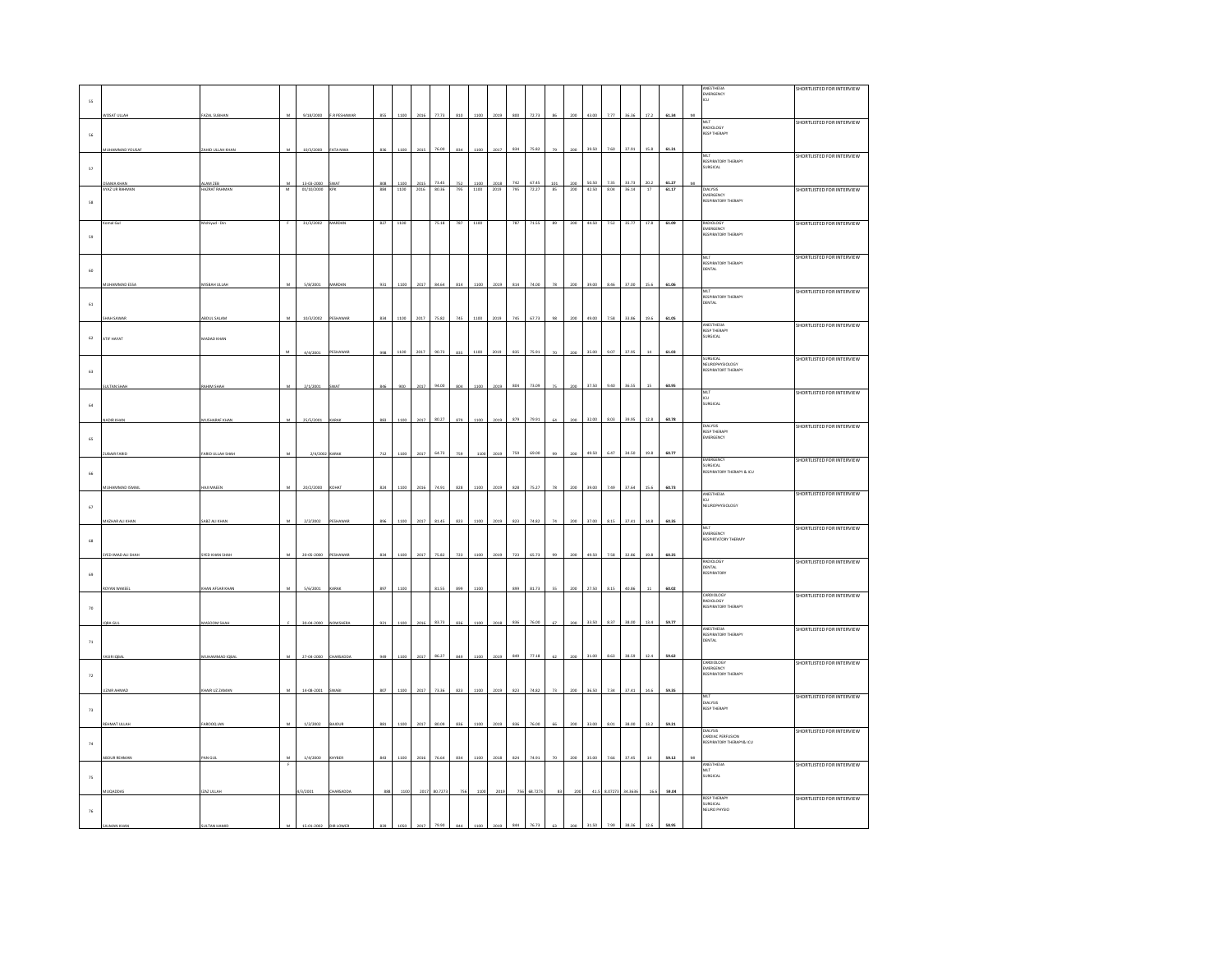|                        |                          |                           |                              |                     |              |                   |              |              |                |            |              |              |            |                |           |                   |                |              |                |                |                | ANESTHESIA                                         | SHORTLISTED FOR INTERVIEW |
|------------------------|--------------------------|---------------------------|------------------------------|---------------------|--------------|-------------------|--------------|--------------|----------------|------------|--------------|--------------|------------|----------------|-----------|-------------------|----------------|--------------|----------------|----------------|----------------|----------------------------------------------------|---------------------------|
|                        |                          |                           |                              |                     |              |                   |              |              |                |            |              |              |            |                |           |                   |                |              |                |                |                | EMERGENCY<br>ιcυ                                   |                           |
| $55\,$                 |                          |                           |                              |                     |              |                   |              |              |                |            |              |              |            |                |           |                   |                |              |                |                |                |                                                    |                           |
|                        | <b>NOSAT ULLAH</b>       | FAZAL SUBHAI              |                              | 9/18/2000           | F.R PESHAWAR | 855               |              | 201          | 77.7           |            |              |              |            |                |           |                   |                |              |                | 17.2           | 61.34          | M                                                  |                           |
|                        |                          |                           |                              |                     |              |                   |              |              |                |            |              |              |            |                |           |                   |                |              |                |                |                | VILT<br>RADIOLOGY                                  | SHORTLISTED FOR INTERVIEW |
| $56\,$                 |                          |                           |                              |                     |              |                   |              |              |                |            |              |              |            |                |           |                   |                |              |                |                |                | <b>RESP THERAPY</b>                                |                           |
|                        | MMAD YOUSA               | HID ULLAH KH              |                              | 10/3/2000           | ATA NW       | 836               | 1100         | 2015         | 76.00          | 834        | 110          | 201          | 834        | 75.82          |           |                   | 39.S           | 7.60         |                | 15.8           | 61.31          |                                                    |                           |
|                        |                          |                           |                              |                     |              |                   |              |              |                |            |              |              |            |                |           |                   |                |              |                |                |                | MLT                                                | SHORTLISTED FOR INTERVIEW |
| $57\,$                 |                          |                           |                              |                     |              |                   |              |              |                |            |              |              |            |                |           |                   |                |              |                |                |                | HELL<br>RESPIRATORY THERAPY<br>SURGICAL            |                           |
|                        |                          |                           |                              |                     |              |                   |              |              |                |            |              |              |            |                |           |                   |                |              |                |                |                |                                                    |                           |
|                        | OSAMA KHAN<br>AZ UR RAHM | LAM ZEB<br><b>ZRAT RA</b> | M<br>$\overline{\mathsf{M}}$ | 13-03-2000<br>01/10 | SWAT         | $\frac{808}{884}$ | 1100<br>1100 | 2015<br>2016 | 73.45<br>80.36 | 752<br>795 | 1100<br>1100 | 2018<br>2019 | 742<br>795 | 67.45<br>72.27 | 101<br>8S | $\frac{200}{200}$ | 50.50<br>42.50 | 7.35<br>8.04 | 33.73<br>36.14 | 20.2<br>$17\,$ | 61.27<br>61.17 | M                                                  | SHORTLISTED FOR INTERVIEW |
|                        |                          |                           |                              |                     |              |                   |              |              |                |            |              |              |            |                |           |                   |                |              |                |                |                | DIALYSIS<br>EMERGENCY                              |                           |
| 58                     |                          |                           |                              |                     |              |                   |              |              |                |            |              |              |            |                |           |                   |                |              |                |                |                | RESPIRATORY THERAPY                                |                           |
|                        |                          |                           |                              |                     |              |                   |              |              |                |            |              |              |            |                |           |                   |                |              |                |                |                |                                                    |                           |
|                        | mal Gul                  | Mohiyud - Dir             |                              | 31/3/2002           | MARDAN       | 827               | 1100         |              | 75.18          | 787        | 1100         |              | 787        | 71.55          | 89        | 200               | 44.50          | 7.52         | 35.77          | 17.8           | 61.09          | RADIOLOGY                                          | SHORTLISTED FOR INTERVIEW |
| $59\,$                 |                          |                           |                              |                     |              |                   |              |              |                |            |              |              |            |                |           |                   |                |              |                |                |                | IMENSEON<br>EMERGENCY<br>RESPIRATORY THERAPY       |                           |
|                        |                          |                           |                              |                     |              |                   |              |              |                |            |              |              |            |                |           |                   |                |              |                |                |                |                                                    |                           |
|                        |                          |                           |                              |                     |              |                   |              |              |                |            |              |              |            |                |           |                   |                |              |                |                |                |                                                    | SHORTLISTED FOR INTERVIEW |
|                        |                          |                           |                              |                     |              |                   |              |              |                |            |              |              |            |                |           |                   |                |              |                |                |                | MLT<br>RESPIRATORY THERAPY<br>DENTAL               |                           |
| $_{60}$                |                          |                           |                              |                     |              |                   |              |              |                |            |              |              |            |                |           |                   |                |              |                |                |                |                                                    |                           |
|                        |                          | <b>AISBAH ULLAI</b>       |                              | 5/8/200             | MARDA        | 93                | 110          | 2017         | 84.6           | $81-$      |              | 201          |            |                |           |                   |                | 8.41         | 37.00          | 15.6           | 61.06          |                                                    |                           |
|                        |                          |                           |                              |                     |              |                   |              |              |                |            |              |              |            |                |           |                   |                |              |                |                |                | MLT<br><b>RESPIRATORY THERAPY</b>                  | SHORTLISTED FOR INTERVIEW |
| $\bf 61$               |                          |                           |                              |                     |              |                   |              |              |                |            |              |              |            |                |           |                   |                |              |                |                |                | DENTAL                                             |                           |
|                        |                          |                           |                              |                     |              |                   | 1100         |              |                |            | 1100         |              | 745        | 67.73          |           |                   | 49.00          | 7.58         | 33.86          |                | 61.05          |                                                    |                           |
|                        | H SAWA                   | <b>BDUL SALAM</b>         |                              | 10/3/2002           | FSHAWA       | 834               |              | 2017         | 75.82          | 745        |              |              |            |                |           |                   |                |              |                | 19.6           |                | <b>ANESTHESIA</b><br>RESP THERAPY                  | SHORTLISTED FOR INTERVIEW |
|                        |                          |                           |                              |                     |              |                   |              |              |                |            |              |              |            |                |           |                   |                |              |                |                |                | SURGICAL                                           |                           |
| 62                     | ATIF HAYAT               | MADAD KHAN                |                              |                     |              |                   |              |              |                |            |              |              |            |                |           |                   |                |              |                |                |                |                                                    |                           |
|                        |                          |                           | м                            | 4/4/2001            | ESHAWA       | 998               | 1100         | 2017         | 90.73          | 835        | 1100         | 2019         | 835        | 75.91          |           |                   | 35.00          | 9.07         | 37.95          | $^{\rm 14}$    | 61.03          |                                                    |                           |
|                        |                          |                           |                              |                     |              |                   |              |              |                |            |              |              |            |                |           |                   |                |              |                |                |                | SURGICAL<br>NEUROPHYSIOLOGY<br>RESPIRATORT THERAPY | SHORTLISTED FOR INTERVIEW |
| $63\,$                 |                          |                           |                              |                     |              |                   |              |              |                |            |              |              |            |                |           |                   |                |              |                |                |                |                                                    |                           |
|                        |                          |                           |                              |                     |              |                   |              |              |                |            |              |              | 804        |                |           |                   | 37.50          |              | 36.55          | 15             |                |                                                    |                           |
|                        | <b>LTAN SH</b>           | IIM SH                    |                              | 2/1/200             |              |                   |              |              | 94.00          |            |              |              |            | 73.05          |           |                   |                | 9.40         |                |                | 60.95          | MLT                                                | SHORTLISTED FOR INTERVIEW |
| 64                     |                          |                           |                              |                     |              |                   |              |              |                |            |              |              |            |                |           |                   |                |              |                |                |                | ICU.<br>SURGICAL                                   |                           |
|                        |                          |                           |                              |                     |              |                   |              |              |                |            |              |              |            |                |           |                   |                |              |                |                |                |                                                    |                           |
|                        | <b>IDIR KHA</b>          | <b>IUSHARAF KHA</b>       |                              | 25/5/2001           |              | 883               | 110          | 2017         | 80.27          | 879        | 1100         | 2019         | 879        | 79.91          |           |                   | 32.00          | 8.03         | 39.95          | 12.8           | 60.78          |                                                    |                           |
|                        |                          |                           |                              |                     |              |                   |              |              |                |            |              |              |            |                |           |                   |                |              |                |                |                | <b>DIALYSIS</b><br>RESP THERAPY                    | SHORTLISTED FOR INTERVIEW |
| $65\,$                 |                          |                           |                              |                     |              |                   |              |              |                |            |              |              |            |                |           |                   |                |              |                |                |                | EMERGENCY                                          |                           |
|                        |                          |                           |                              |                     |              |                   |              |              | 64.73          |            |              |              | 759        |                |           |                   | 49.50          | 6.47         | 34.50          |                |                |                                                    |                           |
|                        | UBAIR FARID              | ARID ULLAH SHA            |                              | 2/4/200             |              | 712               | 110          | 201          |                | 755        | 110          | 2019         |            |                |           |                   |                |              |                | 19.8           | 60.77          | EMERGENCY                                          | SHORTLISTED FOR INTERVIEW |
|                        |                          |                           |                              |                     |              |                   |              |              |                |            |              |              |            |                |           |                   |                |              |                |                |                | SURGICAL<br><b>RESPIRATORY THERAPY &amp; ICU</b>   |                           |
| 66                     |                          |                           |                              |                     |              |                   |              |              |                |            |              |              |            |                |           |                   |                |              |                |                |                |                                                    |                           |
|                        | <b>JHAMMAD ISMAI</b>     | AILMAEEN                  | M                            | 20/2/2000           | OHAT         | 824               | 1100         | 2016         | 74.91          | 828        | 1100         | 2019         | 828        | 75.27          |           |                   | 39.00          | 7.49         | 37.64          | 15.6           | 60.73          |                                                    |                           |
|                        |                          |                           |                              |                     |              |                   |              |              |                |            |              |              |            |                |           |                   |                |              |                |                |                | ANESTHESIA<br>ICU                                  | SHORTLISTED FOR INTERVIEW |
| $_{\rm 67}$            |                          |                           |                              |                     |              |                   |              |              |                |            |              |              |            |                |           |                   |                |              |                |                |                | NEUROPHYSIOLOGY                                    |                           |
|                        | MAZHAR ALI KHAP          | ABZ ALI KHAM              | ${\mathsf M}$                | 2/2/2002            | PESHAWAR     | 896               | 1100         | 2017         | 81.45          | 823        | 1100         | 2019         | 823        | 74.82          |           | 200               | 37.00          | 8.15         | 37.41          | 14.8           | 60.35          |                                                    |                           |
|                        |                          |                           |                              |                     |              |                   |              |              |                |            |              |              |            |                |           |                   |                |              |                |                |                | MLT                                                | SHORTLISTED FOR INTERVIEW |
| 68                     |                          |                           |                              |                     |              |                   |              |              |                |            |              |              |            |                |           |                   |                |              |                |                |                | EMERGENCY<br>RESPIRTATORY THERAPY                  |                           |
|                        |                          |                           |                              |                     |              |                   |              |              |                |            |              |              |            |                |           |                   |                |              |                |                |                |                                                    |                           |
|                        | YED IMAD ALL SHAH        | YED KHAN SHAH             | м                            | 20-05-2000          | PESHAWAR     | 834               | 1100         | 2017         | 75.82          | 723        | 1100         | 2019         | 723        | 65.73          |           |                   | 49.50          | 7.58         | 32.86          | 19.8           | 60.25          | ADIOLOGY                                           | SHORTLISTED FOR INTERVIEW |
|                        |                          |                           |                              |                     |              |                   |              |              |                |            |              |              |            |                |           |                   |                |              |                |                |                | DENTAL                                             |                           |
| $^{69}$                |                          |                           |                              |                     |              |                   |              |              |                |            |              |              |            |                |           |                   |                |              |                |                |                | RESPIRATORY                                        |                           |
|                        | ROYAN WAKEE              | HAN AFSAR KHAN            |                              | 5/6/2001            | ARAK         | 897               | 1100         |              | 81.55          | 899        | 1100         |              | 899        | 81.73          |           |                   | 27.50          | 8.15         | 40.86          | 11             | 60.02          |                                                    |                           |
|                        |                          |                           |                              |                     |              |                   |              |              |                |            |              |              |            |                |           |                   |                |              |                |                |                | CARDIOLOGY                                         | SHORTLISTED FOR INTERVIEW |
| $70\,$                 |                          |                           |                              |                     |              |                   |              |              |                |            |              |              |            |                |           |                   |                |              |                |                |                | RADIOLOGY<br>RADIOLOGY<br>RESPIRATORY THERAPY      |                           |
|                        |                          |                           |                              |                     |              |                   |              |              |                |            |              |              |            |                |           |                   |                |              |                |                |                |                                                    |                           |
|                        | <b>BAGU</b>              | MASOOM SHAH               |                              | 30-04-2000          | NOWSHERA     | 921               | 1100         | 2016         | 83.73          | 836        | 1100         | 2018         | 836        | 76.00          | 67        | 200               | 33.50          | 8.37         | 38.00          | 13.4           | 59.77          |                                                    | SHORTLISTED FOR INTERVIEW |
|                        |                          |                           |                              |                     |              |                   |              |              |                |            |              |              |            |                |           |                   |                |              |                |                |                | <b>ANESTHESIA</b><br>RESPIRATORY THERAPY<br>DENTAL |                           |
| 71                     |                          |                           |                              |                     |              |                   |              |              |                |            |              |              |            |                |           |                   |                |              |                |                |                |                                                    |                           |
|                        | SIRIQBAL                 | UHAMMAD IQBA              | м                            | 27-04-2000          | HARSADDA     | 949               | 1100         | 2017         | 86.27          | 849        | 1100         | 2019         | 849        | 77.18          |           | 200               | 31.00          | 8.63         | 38.59          | 12.4           | 59.62          |                                                    |                           |
|                        |                          |                           |                              |                     |              |                   |              |              |                |            |              |              |            |                |           |                   |                |              |                |                |                | CARDIOLOGY<br>EMERGENCY                            | SHORTLISTED FOR INTERVIEW |
| $\scriptstyle\gamma_2$ |                          |                           |                              |                     |              |                   |              |              |                |            |              |              |            |                |           |                   |                |              |                |                |                | <b>RESPIRATORY THERAPY</b>                         |                           |
|                        |                          |                           |                              |                     |              |                   |              |              |                |            |              |              |            |                |           |                   |                |              |                |                |                |                                                    |                           |
|                        | <b>ZAJR AHMA</b>         | AIR UZ ZAMA               | M.                           | 14-08-2001          | <b>VARI</b>  | 807               | 1100         | 2017         | 73.36          | 823        | 1100         | 2019         | 823        | 74.82          |           | 200               | 36.50          | 7.34         | 37.41          | 14.6           | 59.35          | MLT                                                | SHORTLISTED FOR INTERVIEW |
|                        |                          |                           |                              |                     |              |                   |              |              |                |            |              |              |            |                |           |                   |                |              |                |                |                | <b>DIALYSIS</b><br>RESP THERAPY                    |                           |
| 73                     |                          |                           |                              |                     |              |                   |              |              |                |            |              |              |            |                |           |                   |                |              |                |                |                |                                                    |                           |
|                        | EHMAT ULLA               | AROOD A                   | м                            | 1/2/2002            | MOU          | 881               | 1100         | 2017         | 80.09          | 836        | 1100         | 2019         | 836        | 76.00          | 66        | 200               | 33.00          | 8.01         | 38.00          | 13.2           | 59.21          |                                                    |                           |
|                        |                          |                           |                              |                     |              |                   |              |              |                |            |              |              |            |                |           |                   |                |              |                |                |                | DIALYSIS<br><b>CARDIAC PERFUSION</b>               | SHORTLISTED FOR INTERVIEW |
| $_{\rm 74}$            |                          |                           |                              |                     |              |                   |              |              |                |            |              |              |            |                |           |                   |                |              |                |                |                | RESPIRATORY THERAPY& ICU                           |                           |
|                        |                          |                           |                              |                     |              |                   |              |              |                |            |              |              |            |                |           |                   |                |              |                |                |                |                                                    |                           |
|                        | <b>DUR REHMA</b>         |                           | F                            | 1/4/200             |              | 843               |              |              | 76.64          | 834        |              |              | 824        | 74.91          |           |                   | 35.00          | 7.66         | 37.45          | 14             | 59.12          | ANESTHESIA                                         | SHORTLISTED FOR INTERVIEW |
|                        |                          |                           |                              |                     |              |                   |              |              |                |            |              |              |            |                |           |                   |                |              |                |                |                | MLT<br>SURGICAL                                    |                           |
| $75\,$                 |                          |                           |                              |                     |              |                   |              |              |                |            |              |              |            |                |           |                   |                |              |                |                |                |                                                    |                           |
|                        |                          | AZ ULLA                   |                              | 1/3/2001            | HARSAG       |                   |              |              | 30.727         |            |              |              |            |                |           |                   |                | .0727        |                | 16.            | 59.04          |                                                    |                           |
|                        |                          |                           |                              |                     |              |                   |              |              |                |            |              |              |            |                |           |                   |                |              |                |                |                | <b>RESP THERAPY</b><br><b>SURGICAL</b>             | SHORTLISTED FOR INTERVIEW |
| $76\,$                 |                          |                           |                              |                     |              |                   |              |              |                |            |              |              |            |                |           |                   |                |              |                |                |                | NEURO PHYSIC                                       |                           |
|                        |                          |                           |                              |                     |              |                   |              |              |                |            |              |              |            |                |           |                   |                |              |                |                | 58.95          |                                                    |                           |
|                        |                          |                           |                              |                     |              |                   |              |              |                |            |              |              |            |                |           |                   |                |              |                |                |                |                                                    |                           |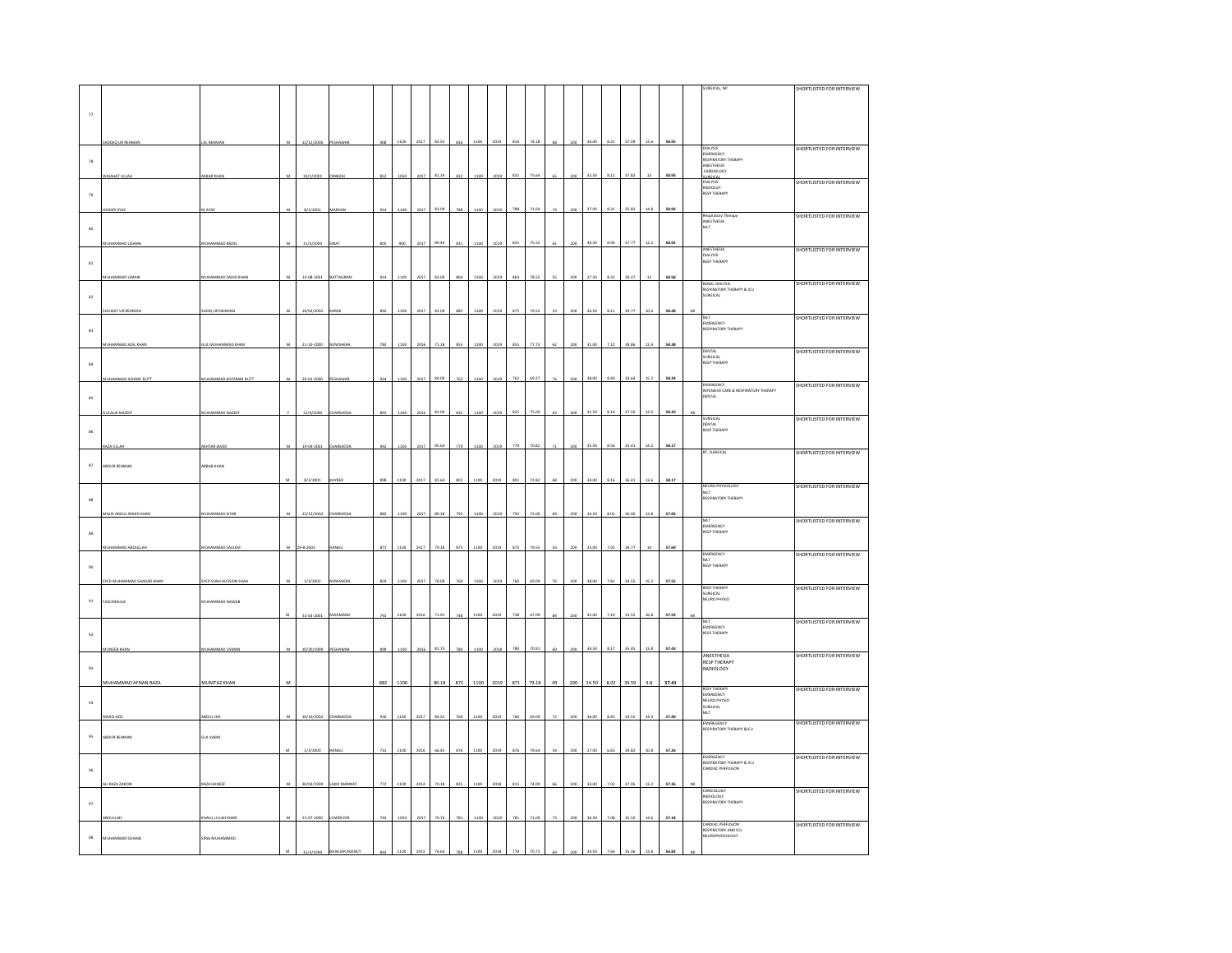|                  |                          |                               |   |            |                |     |      |      |       |          |      |      |     |       |    |     |                  |      |       |        |       |                                                             | <b>SHORTLISTED FOR INTERVIEW</b> |
|------------------|--------------------------|-------------------------------|---|------------|----------------|-----|------|------|-------|----------|------|------|-----|-------|----|-----|------------------|------|-------|--------|-------|-------------------------------------------------------------|----------------------------------|
|                  |                          |                               |   |            |                |     |      |      |       |          |      |      |     |       |    |     |                  |      |       |        |       |                                                             |                                  |
|                  |                          |                               |   |            |                |     |      |      |       |          |      |      |     |       |    |     |                  |      |       |        |       |                                                             |                                  |
| $_{\rm 77}$      |                          |                               |   |            |                |     |      |      |       |          |      |      |     |       |    |     |                  |      |       |        |       |                                                             |                                  |
|                  |                          |                               |   |            |                |     |      |      |       |          |      |      |     |       |    |     |                  |      |       |        |       |                                                             |                                  |
|                  |                          |                               |   |            |                |     |      |      |       |          |      |      |     |       |    |     |                  |      |       |        |       |                                                             |                                  |
|                  | DDEQ UR REHMAN           | L REHMAN                      |   | 12/12/2000 |                |     | 1100 | 2017 |       |          |      |      |     |       |    |     |                  |      |       |        | 58.9  |                                                             | SHORTLISTED FOR INTERVIEW        |
|                  |                          |                               |   |            |                |     |      |      |       |          |      |      |     |       |    |     |                  |      |       |        |       | DIALYSIS<br>EMERGENCY                                       |                                  |
| 78               |                          |                               |   |            |                |     |      |      |       |          |      |      |     |       |    |     |                  |      |       |        |       | RESPIRATORY THERAPY<br>ANESTHESIA<br>CARDIOLOGY             |                                  |
|                  | <b>MAHAT ULLAR</b>       | <b>GBAR KHA</b>               | M | 10/1/2001  | RAKZA          | 852 | 1050 |      |       | 832      | 1100 | 2019 | 832 | 75.64 |    |     | 32.50            |      | 37.82 | 13     | 58.93 |                                                             |                                  |
|                  |                          |                               |   |            |                |     |      | 2017 | 81.14 |          |      |      |     |       |    |     |                  |      |       |        |       | SURGICAL<br>DIALYSIS                                        | SHORTLISTED FOR INTERVIEW        |
|                  |                          |                               |   |            |                |     |      |      |       |          |      |      |     |       |    |     |                  |      |       |        |       | RADIOLGY<br>RESP THERAPY                                    |                                  |
| 79               |                          |                               |   |            |                |     |      |      |       |          |      |      |     |       |    |     |                  |      |       |        |       |                                                             |                                  |
|                  | NDER AYAZ                | AYA                           | M | 8/1/2001   | MARDA          | 914 | 1100 | 2017 | 83.09 | 788      | 1100 | 2019 | 788 | 71.6  |    |     | 37.0             | 8.3  | 35.8  | 14.8   | 58.9  |                                                             |                                  |
|                  |                          |                               |   |            |                |     |      |      |       |          |      |      |     |       |    |     |                  |      |       |        |       | Respiratory Therapy                                         | SHORTLISTED FOR INTERVIEW        |
| $_{\rm 80}$      |                          |                               |   |            |                |     |      |      |       |          |      |      |     |       |    |     |                  |      |       |        |       | ANESTHESIA<br>MLT                                           |                                  |
|                  |                          |                               |   |            |                |     |      |      |       |          |      |      |     |       |    |     |                  |      |       |        |       |                                                             |                                  |
|                  | JHAMMAD USAMA            | <b>IUHAMMAD RAZIQ</b>         | M | 11/3/2000  | <b>SWAT</b>    | 805 | 900  | 2017 | 89.44 | 831      | 1100 | 2019 | 831 | 75.5  |    | 200 | 30.50            | 8.94 | 37.77 | 12.2   | 58.92 |                                                             |                                  |
|                  |                          |                               |   |            |                |     |      |      |       |          |      |      |     |       |    |     |                  |      |       |        |       | ANESTHESIA                                                  | SHORTLISTED FOR INTERVIEW        |
| 81               |                          |                               |   |            |                |     |      |      |       |          |      |      |     |       |    |     |                  |      |       |        |       | DIALYSIS<br>DIALYSIS<br>RESP THERAPY                        |                                  |
|                  |                          |                               |   |            |                |     |      |      |       |          |      |      |     |       |    |     |                  |      |       |        |       |                                                             |                                  |
|                  |                          | <b>IUHAMMAD ZAHID KHAP</b>    | M | 22-08-2001 | BATTAGRAM      | 914 | 1100 | 2017 | 83.09 | 864      | 1100 | 2019 | 864 | 78.55 |    | 200 | 27.50            | 8.31 | 39.27 | $11\,$ | 58.58 |                                                             | <b>SHORTLISTED FOR INTERVIEW</b> |
|                  |                          |                               |   |            |                |     |      |      |       |          |      |      |     |       |    |     |                  |      |       |        |       | RENAL DIALYSIS<br>RESPIRATORY THERAPY & ICU<br>SURGICAL     |                                  |
| 82               |                          |                               |   |            |                |     |      |      |       |          |      |      |     |       |    |     |                  |      |       |        |       |                                                             |                                  |
|                  | <b>JUJAAT UR REHMAN</b>  | ADIQ UR REHMAN                | M | 14/02/2002 | <b>CARAK</b>   | 892 | 1100 | 2017 | 81.09 | 885      | 1100 | 2019 | 875 | 79.55 | 53 | 200 | 26.50            | 8.11 | 39.77 | 10.6   | 58.48 |                                                             |                                  |
|                  |                          |                               |   |            |                |     |      |      |       |          |      |      |     |       |    |     |                  |      |       |        |       |                                                             | SHORTLISTED FOR INTERVIEW        |
|                  |                          |                               |   |            |                |     |      |      |       |          |      |      |     |       |    |     |                  |      |       |        |       | MLT<br>EMERGENCY<br>RESPIRATORY THERAPY                     |                                  |
| $^{\rm 83}$      |                          |                               |   |            |                |     |      |      |       |          |      |      |     |       |    |     |                  |      |       |        |       |                                                             |                                  |
|                  | <b>JHAMMAD ADIL KHAN</b> | <b>SUL MUHAMMAD KHAN</b>      |   | 21-10-2000 | NOWSHER        | 783 | 110  | 2016 | 71.18 | 855      | 110  | 2019 | 855 | 77.73 |    |     | 31.00            | 7.12 |       | 12.4   | 58.38 |                                                             |                                  |
|                  |                          |                               |   |            |                |     |      |      |       |          |      |      |     |       |    |     |                  |      |       |        |       |                                                             | <b>SHORTLISTED FOR INTERVIEW</b> |
| $^{\rm 84}$      |                          |                               |   |            |                |     |      |      |       |          |      |      |     |       |    |     |                  |      |       |        |       | DENTAL<br>SURGICAL<br>RESP THERAPY                          |                                  |
|                  |                          |                               |   |            |                |     |      |      |       |          |      |      |     |       |    |     |                  |      |       |        |       |                                                             |                                  |
|                  | HAMMAD ASHRAF BUTT       | UHAMMAD KHYZRAM BUTT          | M | 20-01-2000 | <b>FSHAWAI</b> | 924 | 110  | 2017 | 84.00 | 762      | 1100 | 2015 | 762 | 69.27 |    |     | 38.00            | 8.40 | 34.64 | 15.2   | 58.24 |                                                             |                                  |
|                  |                          |                               |   |            |                |     |      |      |       |          |      |      |     |       |    |     |                  |      |       |        |       | EMERGENCY<br>INYENSIVE CARE & RESPIRATORY THERAPY<br>DENTAL | <b>HORTLISTED FOR INTERVIEW</b>  |
| 85               |                          |                               |   |            |                |     |      |      |       |          |      |      |     |       |    |     |                  |      |       |        |       |                                                             |                                  |
|                  |                          |                               |   |            |                |     |      |      |       |          |      |      |     |       |    |     |                  |      |       |        |       |                                                             |                                  |
|                  | <b>JLALAI NAZEE</b>      | UHAMMAD NAZEEF                |   | 12/4/2000  | HARSADE        |     |      |      | 81.00 |          |      |      | 825 | 75.0  |    |     | 31.5             | 8.10 | 37.50 | 12.6   | 58.20 |                                                             |                                  |
|                  |                          |                               |   |            |                |     |      |      |       |          |      |      |     |       |    |     |                  |      |       |        |       | SURGICAL<br>DENTAL<br>RESP THERAPY                          | SHORTLISTED FOR INTERVIEW        |
| 86               |                          |                               |   |            |                |     |      |      |       |          |      |      |     |       |    |     |                  |      |       |        |       |                                                             |                                  |
|                  |                          |                               |   |            |                |     |      |      |       |          |      |      |     |       |    |     |                  |      |       |        |       |                                                             |                                  |
|                  |                          | <b>CHTAR JAVE</b>             |   | 19:04:2001 | HARSAD         | 942 |      | 2017 | 85.64 | ,<br>779 |      | 2015 | 779 |       |    |     | 35.51            | 8.56 | 35.41 | 14.2   | 58.17 | RT, SURGICAL                                                |                                  |
|                  |                          |                               |   |            |                |     |      |      |       |          |      |      |     |       |    |     |                  |      |       |        |       |                                                             | SHORTLISTED FOR INTERVIEW        |
| $^{\rm 87}$      | ABDUR REHMAN             | ARBAB KHAN                    |   |            |                |     |      |      |       |          |      |      |     |       |    |     |                  |      |       |        |       |                                                             |                                  |
|                  |                          |                               |   |            |                |     |      |      |       |          |      |      |     |       |    |     |                  |      |       |        |       |                                                             |                                  |
|                  |                          |                               |   | 8/2/2001   | HYBEI          | 898 | 1100 | 2017 | 81.64 | 801      | 1100 | 2019 | 801 | 72.82 |    |     | 34.00            | 8.11 |       | 13.6   | 58.17 | NEURO PHYSIOLOGY                                            | SHORTLISTED FOR INTERVIEW        |
|                  |                          |                               |   |            |                |     |      |      |       |          |      |      |     |       |    |     |                  |      |       |        |       | MLT<br>RESPIRATORY THERAPY                                  |                                  |
| $^{\rm 83}$      |                          |                               |   |            |                |     |      |      |       |          |      |      |     |       |    |     |                  |      |       |        |       |                                                             |                                  |
|                  | LIK ABDUL MAJID KI       | <b>HAMMAD SIYA</b>            |   |            |                |     |      |      | 80.18 |          |      |      | 792 |       |    |     | 34.51            | 802  |       | 13.8   | 57.82 |                                                             |                                  |
|                  |                          |                               |   | 12/12/2002 |                |     |      |      |       |          |      |      |     |       |    |     |                  |      |       |        |       |                                                             | SHORTLISTED FOR INTERVIEW        |
|                  |                          |                               |   |            |                |     |      |      |       |          |      |      |     |       |    |     |                  |      |       |        |       | MLT<br>EMERGENCY<br>RESP THERAPY                            |                                  |
| $^{\rm 89}$      |                          |                               |   |            |                |     |      |      |       |          |      |      |     |       |    |     |                  |      |       |        |       |                                                             |                                  |
|                  | HAMMAD ABDULLA           | UHAMMAD SALEEM                |   |            |                | 871 | 1100 | 2017 | 79.18 |          | 1100 | 2019 | 875 | 79.55 |    |     |                  | 7.92 | 39.77 |        | 57.69 |                                                             |                                  |
|                  |                          |                               |   |            |                |     |      |      |       |          |      |      |     |       |    |     |                  |      |       |        |       | EMERGENCY                                                   | SHORTLISTED FOR INTERVIEW        |
| 90               |                          |                               |   |            |                |     |      |      |       |          |      |      |     |       |    |     |                  |      |       |        |       | MLT<br>RESP THERAPY                                         |                                  |
|                  |                          |                               |   |            |                |     |      |      |       |          |      |      |     |       |    |     |                  |      |       |        |       |                                                             |                                  |
|                  | YED MUHAMMAD SHADAD KHAM | <b>SYED SHAH HUSSAIN SHAI</b> |   | 1/3/200    | NOWSH          | 859 |      | 201  | 78.09 |          |      |      |     |       |    |     |                  | 7.81 |       |        | 57.55 |                                                             |                                  |
|                  |                          |                               |   |            |                |     |      |      |       |          |      |      |     |       |    |     |                  |      |       |        |       | <b>RESP THERAPY</b><br><b>SURGICAL</b>                      | SHORTLISTED FOR INTERVIEW        |
| 91               | FAZLIMAULA               | UHAMMAD NAWAB                 |   |            |                |     |      |      |       |          |      |      |     |       |    |     |                  |      |       |        |       | NEURO PHYSIO                                                |                                  |
|                  |                          |                               |   |            |                |     |      |      |       |          |      |      |     |       |    |     |                  |      |       |        |       |                                                             |                                  |
|                  |                          |                               |   | 31-03-2001 | MOHMAND        | 791 | 1100 | 2016 | 71.91 |          |      |      |     |       |    |     |                  |      |       |        | 57.54 | MLT                                                         | SHORTLISTED FOR INTERVIEW        |
|                  |                          |                               |   |            |                |     |      |      |       |          |      |      |     |       |    |     |                  |      |       |        |       | FILE<br>EMERGENCY<br>RESP THERAPY                           |                                  |
| $\mathfrak{g}_2$ |                          |                               |   |            |                |     |      |      |       |          |      |      |     |       |    |     |                  |      |       |        |       |                                                             |                                  |
|                  |                          |                               |   |            |                |     |      |      |       |          |      |      |     |       |    |     |                  |      |       |        |       |                                                             |                                  |
|                  | UNEEB KHAM               | <b>IUHAMMAD USMA</b>          | M | 10/20/1999 | <b>ESHAV</b>   | 899 | 1100 | 2016 | 81.73 | 780      | 1100 | 201  | 780 | 70.9  |    |     | 34.5             | 8.1  |       | 13.8   | 57.43 |                                                             | SHORTLISTED FOR INTERVIEW        |
|                  |                          |                               |   |            |                |     |      |      |       |          |      |      |     |       |    |     |                  |      |       |        |       | ANESTHESIA<br>RESP THERAPY                                  |                                  |
| $93\,$           |                          |                               |   |            |                |     |      |      |       |          |      |      |     |       |    |     |                  |      |       |        |       | RADIOLOGY                                                   |                                  |
|                  | MUHAMMAD AFNAN RAZA      | <b>MUMTAZ KHAN</b>            | M |            |                | 882 | 1100 |      | 80.18 | 871      | 1100 | 2019 | 871 | 79.18 | 49 | 200 | 24.50 8.02 39.59 |      |       | 9.8    | 57.41 |                                                             |                                  |
|                  |                          |                               |   |            |                |     |      |      |       |          |      |      |     |       |    |     |                  |      |       |        |       |                                                             | SHORTLISTED FOR INTERVIEW        |
|                  |                          |                               |   |            |                |     |      |      |       |          |      |      |     |       |    |     |                  |      |       |        |       | RESP THERAPY<br>EMERGENCY<br>NEURO PHYSIO                   |                                  |
| $\mathbf{94}$    |                          |                               |   |            |                |     |      |      |       |          |      |      |     |       |    |     |                  |      |       |        |       | SURGICAL                                                    |                                  |
|                  | WAIS AZIZ                | <b>BDUL HA</b>                | M | 10/10/2002 | CHARSADD       | 930 | 1100 | 2017 | 84.55 | 760      | 1100 |      | 760 |       |    |     | 36.0             | 8.4  |       | 14.4   | 57.4  | MLT                                                         |                                  |
|                  |                          |                               |   |            |                |     |      |      |       |          |      |      |     |       |    |     |                  |      |       |        |       | EMEREGENCY                                                  | HORTLISTED FOR INTERVIEW         |
|                  |                          |                               |   |            |                |     |      |      |       |          |      |      |     |       |    |     |                  |      |       |        |       | RESPIRATORY THERAPY &ICU                                    |                                  |
| 95               | BDUR REHMAN              | .<br>SUL KABIR                |   |            |                |     |      |      |       |          |      |      |     |       |    |     |                  |      |       |        |       |                                                             |                                  |
|                  |                          |                               |   | 1/2/2000   | <b>MG</b>      | 731 | 1100 | 2016 | 66.45 | 876      | 1100 |      | 876 |       |    |     |                  |      |       | 10.8   | 57.26 |                                                             |                                  |
|                  |                          |                               |   |            |                |     |      |      |       |          |      |      |     |       |    |     |                  |      |       |        |       |                                                             | HORTLISTED FOR INTERVIEW         |
| $96\,$           |                          |                               |   |            |                |     |      |      |       |          |      |      |     |       |    |     |                  |      |       |        |       | EMERGENCY<br>RESPIRATORY THERAPY & ICU<br>CARDIAC PERFUSION |                                  |
|                  |                          |                               |   |            |                |     |      |      |       |          |      |      |     |       |    |     |                  |      |       |        |       |                                                             |                                  |
|                  | LI RAZA ZAKO             | AZA HANEER                    |   | 20/03/1999 | AKKI MARWA     | 772 | 110  | 201  | 70.11 |          |      |      |     |       |    |     |                  |      |       |        |       |                                                             |                                  |
|                  |                          |                               |   |            |                |     |      |      |       |          |      |      |     |       |    |     |                  |      |       |        |       | CARDIOLOGY<br>RADIOLOGY<br>RESPIRATORY THERAPY              | SHORTLISTED FOR INTERVIEW        |
| $\,97$           |                          |                               |   |            |                |     |      |      |       |          |      |      |     |       |    |     |                  |      |       |        |       |                                                             |                                  |
|                  |                          |                               |   |            |                |     |      |      |       |          |      |      |     |       |    |     |                  |      |       |        |       |                                                             |                                  |
|                  |                          | ALIL ULLAH KHA                |   | 22-07-2000 | OWER DIE       |     |      |      | 70.76 |          |      |      |     |       |    |     |                  | 7.08 |       | 14.6   | 57.18 |                                                             |                                  |
|                  |                          |                               |   |            |                |     |      |      |       |          |      |      |     |       |    |     |                  |      |       |        |       | CARDIAC PERFUSION<br>RESPIRATORY AND ICU                    | SHORTLISTED FOR INTERVIEW        |
| $98\,$           | MUHAMMAD SOHAIB          | <b>JRAJ MUHAMMAD</b>          |   |            |                |     |      |      |       |          |      |      |     |       |    |     |                  |      |       |        |       | <b>NEUROPHYSIOLOGY</b>                                      |                                  |
|                  |                          |                               |   |            |                |     |      |      |       |          |      |      |     |       |    |     |                  |      |       |        |       |                                                             |                                  |
|                  |                          |                               |   |            |                |     |      |      |       |          |      |      |     |       |    |     |                  |      |       |        |       |                                                             |                                  |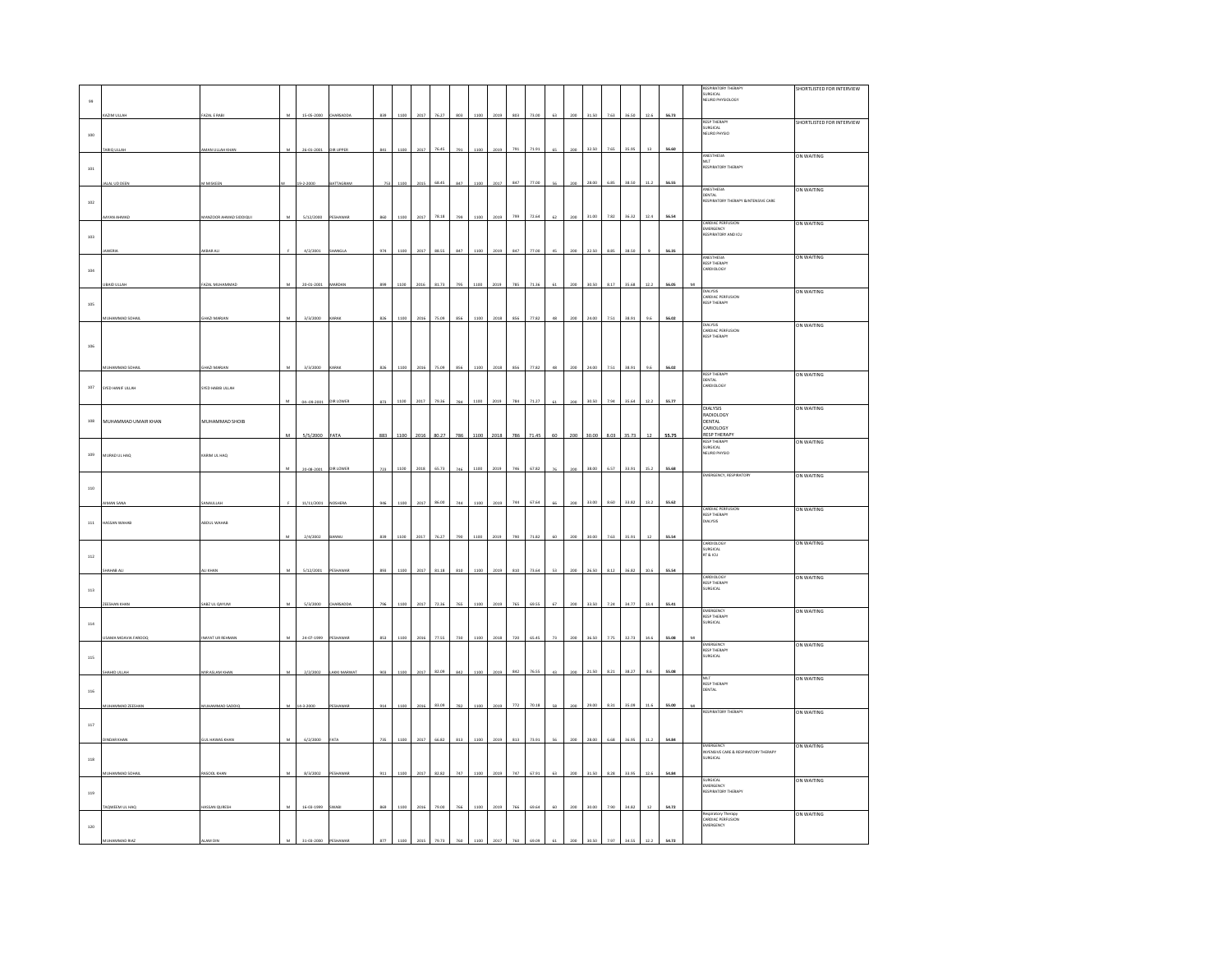|              |                     |                       |              |            |              |     |      |           |       |     |      |      |     |       |             |     |       |      |       |        |       |    | <b>RESPIRATORY THERAPY</b>                                    | SHORTLISTED FOR INTERVIEW |
|--------------|---------------------|-----------------------|--------------|------------|--------------|-----|------|-----------|-------|-----|------|------|-----|-------|-------------|-----|-------|------|-------|--------|-------|----|---------------------------------------------------------------|---------------------------|
| $99\,$       |                     |                       |              |            |              |     |      |           |       |     |      |      |     |       |             |     |       |      |       |        |       |    | SURGICAL<br>EURO PHYSIOLOGY                                   |                           |
|              | AZIM ULLAR          | <b>FAZAL E RABI</b>   |              | 15-05-2000 | HARSADD      | 839 | 1100 | 2017      | 76.2  | 80  | 1100 | 2019 | 803 | 73.00 | 63          | 200 | 31.50 | 7.63 | 36.50 | 12.6   | 56.73 |    |                                                               |                           |
|              |                     |                       |              |            |              |     |      |           |       |     |      |      |     |       |             |     |       |      |       |        |       |    | <b>RESP THERAPY</b>                                           | SHORTLISTED FOR INTERVIEW |
| $100\,$      |                     |                       |              |            |              |     |      |           |       |     |      |      |     |       |             |     |       |      |       |        |       |    | SURGICAL<br>SURGICAL<br>NEURO PHYSIO                          |                           |
|              | ARIQ ULLAH          | MAN ULLAH KHAM        | ${\bf M}$    | 26-01-2001 | DIR UPPER    | 841 | 1100 | 2017      | 76.45 | 791 | 1100 | 2019 | 791 | 71.91 | $65\,$      | 200 | 32.50 | 7.65 | 35.95 | 13     | 56.60 |    |                                                               |                           |
|              |                     |                       |              |            |              |     |      |           |       |     |      |      |     |       |             |     |       |      |       |        |       |    | ANESTHESIA<br>MLT<br>RESPIRATORY THERAPY                      | ON WAITING                |
| 101          |                     |                       |              |            |              |     |      |           |       |     |      |      |     |       |             |     |       |      |       |        |       |    |                                                               |                           |
|              | ALAL UD DEEN        | M MISKEEN             |              | 19-2-2000  | BATTAGRAM    | 753 | 1100 | 2015      | 68.45 | 847 | 1100 | 2017 | 847 | 77.00 | 56          | 200 | 28.00 | 6.85 | 38.50 | 11.2   | 56.55 |    |                                                               |                           |
|              |                     |                       |              |            |              |     |      |           |       |     |      |      |     |       |             |     |       |      |       |        |       |    | ANESTHESIA<br>DENTAL                                          | ON WAITING                |
| $102\,$      |                     |                       |              |            |              |     |      |           |       |     |      |      |     |       |             |     |       |      |       |        |       |    | RESPIRATORY THERAPY &INTENSIVE CARE                           |                           |
|              |                     | ANZOOR AHMAD SIDDIQUI | м            | 5/12/2000  | ESHAWA       | 860 | 1100 | 2017      | 78.18 | 799 | 1100 | 2019 | 799 | 72.64 | 62          | 200 | 31.00 | 7.82 | 36.32 | 12.4   | 56.54 |    |                                                               |                           |
|              |                     |                       |              |            |              |     |      |           |       |     |      |      |     |       |             |     |       |      |       |        |       |    | CARDIAC PERFUSION<br>EMERGENCY                                | ON WAITING                |
| 103          |                     |                       |              |            |              |     |      |           |       |     |      |      |     |       |             |     |       |      |       |        |       |    | EMEMENTORY AND ICH                                            |                           |
|              |                     | KBAR ALI              |              | 4/2/2001   | <b>IANGL</b> | 974 | 110  | 2017      | 88.55 |     | 1100 | 201  | 847 | 77.00 |             |     | 22.50 | 8.85 | 38.50 |        | 56.35 |    |                                                               |                           |
|              |                     |                       |              |            |              |     |      |           |       |     |      |      |     |       |             |     |       |      |       |        |       |    | ANESTHESIA<br><b>RESP THERAPY</b>                             | ON WAITING                |
| 104          |                     |                       |              |            |              |     |      |           |       |     |      |      |     |       |             |     |       |      |       |        |       |    | ARDIOLOGY                                                     |                           |
|              | AID ULLAI           | AZAL MUHAMMAD         |              | 20-01-2001 | <b>MARDA</b> | 899 | 1100 | 2016      | 81.73 | 795 | 1100 | 2019 | 785 | 71.36 |             |     | 30.50 | 8.17 | 35.68 | 12.2   | 56.05 | M  |                                                               |                           |
|              |                     |                       |              |            |              |     |      |           |       |     |      |      |     |       |             |     |       |      |       |        |       |    | <b>DIALYSIS</b><br>CARDIAC PERFUSION<br>RESP THERAPY          | ON WAITING                |
| $105\,$      |                     |                       |              |            |              |     |      |           |       |     |      |      |     |       |             |     |       |      |       |        |       |    |                                                               |                           |
|              | AMMAD SI            | HAZI MARJA            |              | 3/3/2000   |              |     |      |           | 75.09 |     |      | 2011 | 856 | 77.82 |             |     | 24.00 | 7.51 | 38.91 | 9.6    | 56.02 |    |                                                               |                           |
|              |                     |                       |              |            |              |     |      |           |       |     |      |      |     |       |             |     |       |      |       |        |       |    | DIALYSIS<br>CARDIAC PERFUSION                                 | ON WAITING                |
| 106          |                     |                       |              |            |              |     |      |           |       |     |      |      |     |       |             |     |       |      |       |        |       |    | <b>RESP THERAPY</b>                                           |                           |
|              |                     |                       |              |            |              |     |      |           |       |     |      |      |     |       |             |     |       |      |       |        |       |    |                                                               |                           |
|              | UHAMMAD SOHA        | HAZI MARJAN           | $\mathbf{M}$ | 3/3/2000   |              | 826 | 1100 | 2016      | 75.09 | 856 | 1100 | 2018 | 856 | 77.82 | $_{\rm 48}$ | 200 | 24.00 | 7.51 | 38.91 | 9.6    | 56.02 |    |                                                               |                           |
|              |                     |                       |              |            |              |     |      |           |       |     |      |      |     |       |             |     |       |      |       |        |       |    | <b>RESP THERAPY</b><br>DENTAL                                 | ON WAITING                |
| 107          | SYED HANIF ULLAH    | SYED HABIB ULLAH      |              |            |              |     |      |           |       |     |      |      |     |       |             |     |       |      |       |        |       |    | ARDIOLOGY                                                     |                           |
|              |                     |                       |              | 04-09-2001 | DIR LOWER    | 873 | 1100 | 2017      | 79.36 | 784 | 1100 | 2019 | 784 | 71.27 | 61          | 200 | 30.50 | 7.94 | 35.64 | 12.2   | 55.77 |    |                                                               |                           |
|              |                     |                       |              |            |              |     |      |           |       |     |      |      |     |       |             |     |       |      |       |        |       |    | <b>DIALYSIS</b><br>RADIOLOGY                                  | ON WAITING                |
| $108\,$      | MUHAMMAD UMAIR KHAN | MUHAMMAD SHOIB        |              |            |              |     |      |           |       |     |      |      |     |       |             |     |       |      |       |        |       |    | DENTAL                                                        |                           |
|              |                     |                       | M            | 5/5/2000   | FATA         | 883 |      | 1100 2016 | 80.27 | 786 | 1100 | 2018 | 786 | 71.45 | 60          | 200 | 30.00 | 8.03 | 35.73 | $12\,$ | 55.75 |    | CARIOLOGY<br><b>RESP THERAPY</b>                              |                           |
|              |                     |                       |              |            |              |     |      |           |       |     |      |      |     |       |             |     |       |      |       |        |       |    | RESP THERAPY<br>SURGICAL                                      | ON WAITING                |
| $109\,$      | MURAD UL HAQ        | KARIM UL HAQ          |              |            |              |     |      |           |       |     |      |      |     |       |             |     |       |      |       |        |       |    | NEURO PHYSIO                                                  |                           |
|              |                     |                       | M            | 20-08-2001 | DIR LOWER    | 723 | 1100 | 2018      | 65.73 | 746 | 1100 | 2019 | 746 | 67.82 | 76          | 200 | 38.00 | 6.57 | 33.91 | 15.2   | 55.68 |    |                                                               |                           |
|              |                     |                       |              |            |              |     |      |           |       |     |      |      |     |       |             |     |       |      |       |        |       |    | EMERGENCY, RESPIRATORY                                        | ON WAITING                |
| 110          |                     |                       |              |            |              |     |      |           |       |     |      |      |     |       |             |     |       |      |       |        |       |    |                                                               |                           |
|              | AAN SAN             | WAULLA                |              | 11/11/2001 |              | 946 | 1100 | 2017      | 86.00 | 744 | 1100 | 201  | 744 | 67.6  |             |     | 33.00 | 8.60 | 33.82 | 13.2   | 55.62 |    |                                                               |                           |
|              |                     |                       |              |            |              |     |      |           |       |     |      |      |     |       |             |     |       |      |       |        |       |    | CARDIAC PERFUSION<br><b>RESP THERAPY</b>                      | ON WAITING                |
| 111          | HASSAN WAHAB        | BDUL WAHAB            |              |            |              |     |      |           |       |     |      |      |     |       |             |     |       |      |       |        |       |    | DIALYSIS                                                      |                           |
|              |                     |                       |              | 2/4/2002   |              | 839 | 1100 | 2017      | 76.27 |     | 1100 | 2019 | 790 | 71.82 |             |     | 30.00 | 7.63 | 35.91 | $12$   | 55.54 |    |                                                               |                           |
|              |                     |                       |              |            |              |     |      |           |       |     |      |      |     |       |             |     |       |      |       |        |       |    | CARDIOLOGY<br>SURGICAL<br>SURGICAL<br>RT & ICU                | ON WAITING                |
| $112\,$      |                     |                       |              |            |              |     |      |           |       |     |      |      |     |       |             |     |       |      |       |        |       |    |                                                               |                           |
|              |                     |                       |              | 5/12/2001  |              | 893 | 1100 | 2017      | 81.18 | 810 | 1100 |      | 810 | 73.64 | 53          |     | 26.50 | 8.12 | 36.82 | 10.6   | 55.54 |    |                                                               |                           |
|              |                     |                       |              |            |              |     |      |           |       |     |      |      |     |       |             |     |       |      |       |        |       |    | CARDIOLOGY<br>RESP THERAPY<br>SURGICAL                        | ON WAITING                |
| $^{\rm 113}$ |                     |                       |              |            |              |     |      |           |       |     |      |      |     |       |             |     |       |      |       |        |       |    |                                                               |                           |
|              |                     | ABZ UL QAYUN          | M            | 5/3/2000   |              |     | 110  | 2017      | 72.36 |     |      | 3018 | 765 | 69.55 | c7          |     | 33.50 | 7.24 | 34.77 | 13.4   | 55.41 |    |                                                               | ON WAITING                |
|              |                     |                       |              |            |              |     |      |           |       |     |      |      |     |       |             |     |       |      |       |        |       |    | <b>EMERGENCY</b><br>RESP THERAPY<br>SURGICAL                  |                           |
| $_{\rm 114}$ |                     |                       |              |            |              |     |      |           |       |     |      |      |     |       |             |     |       |      |       |        |       |    |                                                               |                           |
|              |                     | <b>YAT UR REH</b>     |              | 24-07-19   |              |     |      |           | 77 S  |     |      |      | 220 | 65.49 |             |     | 36.50 | 775  | 32.73 | 14.6   | 55.08 |    | EMERGENCY                                                     | ON WAITING                |
| 115          |                     |                       |              |            |              |     |      |           |       |     |      |      |     |       |             |     |       |      |       |        |       |    | <b>RESP THERAPY</b><br><b>LIRGICAL</b>                        |                           |
|              |                     |                       |              |            |              |     |      |           |       |     |      |      |     |       |             |     |       |      |       |        |       |    |                                                               |                           |
|              | AHID ULLAH          | <b>IIR ASLAM KHAN</b> |              | 2/2/2002   | AKKI MARWA   |     |      | 201       |       |     |      |      |     |       |             |     |       |      |       | 8.6    | 55.08 |    | MLT                                                           | ON WAITING                |
|              |                     |                       |              |            |              |     |      |           |       |     |      |      |     |       |             |     |       |      |       |        |       |    |                                                               |                           |
| $116\,$      |                     |                       |              |            |              |     |      |           |       |     |      |      |     |       |             |     |       |      |       |        |       |    |                                                               |                           |
|              |                     |                       |              |            |              |     |      |           |       |     |      |      |     |       |             |     |       |      |       |        |       |    | HELP<br>RESP THERAPY<br>DENTAL                                |                           |
|              | HAMMAD ZEESHAN      | UHAMMAD SADDIO        | M            | 14-3-2000  | FSHAW.       | 914 | 1100 | 2016      | 83.09 | 782 | 1100 | 2015 | 772 | 70.18 | S8          |     | 29.00 | 8.31 | 35.09 | 11.6   | 55.00 | MI | <b>RESPIRATORY THERAPY</b>                                    |                           |
|              |                     |                       |              |            |              |     |      |           |       |     |      |      |     |       |             |     |       |      |       |        |       |    |                                                               | ON WAITING                |
| $_{\rm 117}$ |                     |                       |              |            |              |     |      |           |       |     |      |      |     |       |             |     |       |      |       |        |       |    |                                                               |                           |
|              | <b>VDAR KHA</b>     | UL HAWAS KHAI         |              | 6/2/2000   | <b>ATA</b>   | 735 | 1100 | 2017      | 66.82 |     | 1100 | 2019 | 813 | 73.91 |             |     | 28.00 | 6.68 | 36.95 | 11.2   | 54.84 |    |                                                               | ON WAITING                |
|              |                     |                       |              |            |              |     |      |           |       |     |      |      |     |       |             |     |       |      |       |        |       |    | EMERGENCY<br>INVENSIVE CARE & RESPIRATORY THERAPY<br>SURGICAL |                           |
| $^{\rm 118}$ |                     |                       |              |            |              |     |      |           |       |     |      |      |     |       |             |     |       |      |       |        |       |    |                                                               |                           |
|              |                     | SOOL KHA              |              | 8/3/2002   |              | 911 | 110  | 2017      | 82.82 |     | 110  |      | 747 | 67.91 |             |     | 31.50 | 8.28 | 33.95 | 12.6   | 54.84 |    | SURGICAL                                                      | ON WAITING                |
|              |                     |                       |              |            |              |     |      |           |       |     |      |      |     |       |             |     |       |      |       |        |       |    | <b>EMERGENCY</b><br><b>RESPIRATORY THERAPY</b>                |                           |
| 119          |                     |                       |              |            |              |     |      |           |       |     |      |      |     |       |             |     |       |      |       |        |       |    |                                                               |                           |
|              | AQWEEM UL HAQ       | <b>HASSAN QURESH</b>  | M            | 16-03-1999 | SWAB         | 869 | 1100 | 2016      | 79.00 | 766 | 1100 | 2019 | 766 | 69.64 |             | 200 | 30.00 | 7.90 | 34.82 | $12$   | 54.72 |    | Respiratory Therapy                                           | ON WAITING                |
|              |                     |                       |              |            |              |     |      |           |       |     |      |      |     |       |             |     |       |      |       |        |       |    |                                                               |                           |
| $120\,$      | UHAMMAD RIAZ        | M DIN                 |              | 31-03-2000 | PESHAWA      |     |      |           |       |     |      |      |     |       |             |     |       |      |       | 12.2   | 54.72 |    | CARDIAC PERFUSION<br>EMERGENCY                                |                           |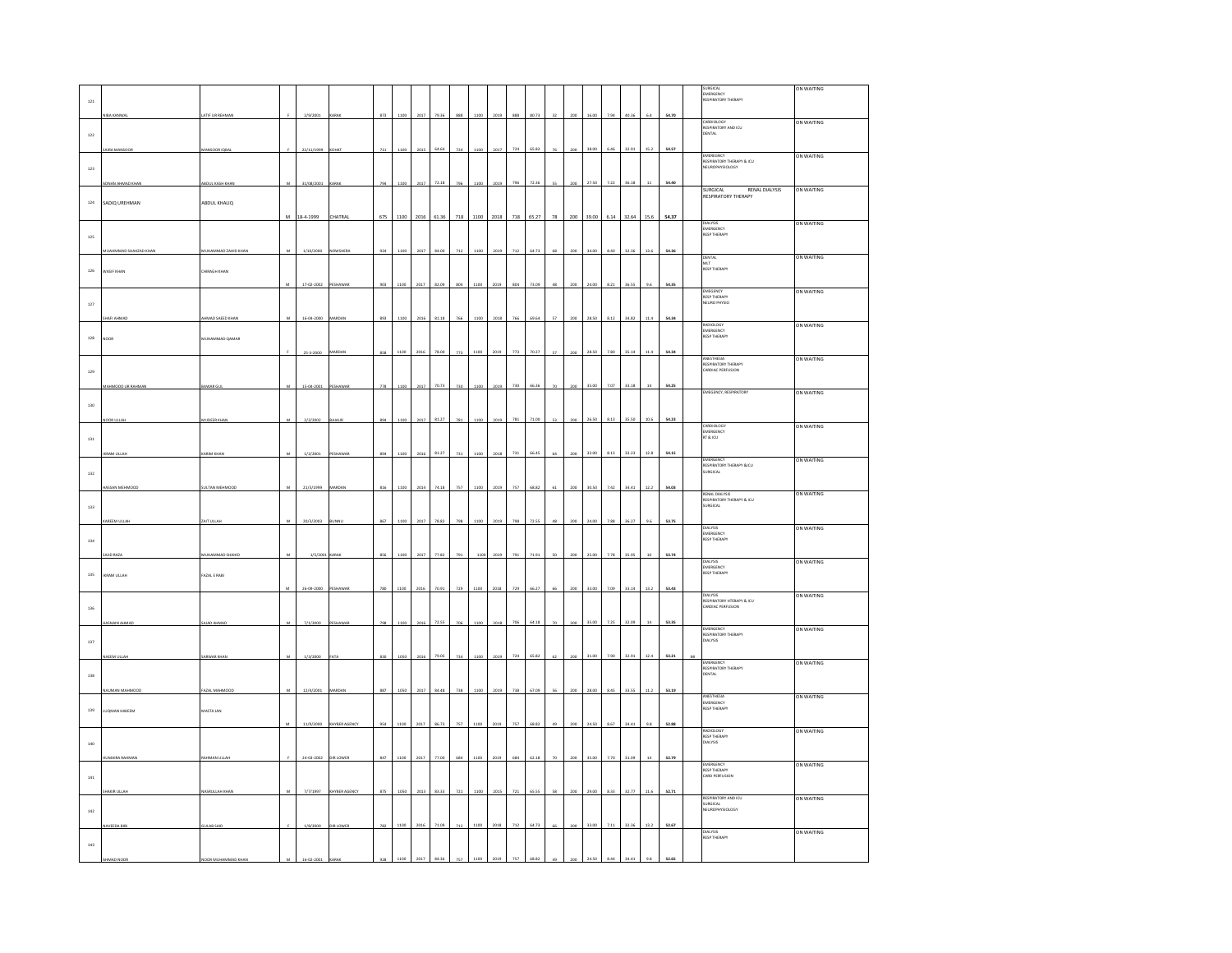|              |                        |                          |                |             |               |     |           |      |       |     |      |      |                     |       |    |     |       |      |       |             |       |    | SURGICAL<br>EMERGENCY                                          | ON WAITING |
|--------------|------------------------|--------------------------|----------------|-------------|---------------|-----|-----------|------|-------|-----|------|------|---------------------|-------|----|-----|-------|------|-------|-------------|-------|----|----------------------------------------------------------------|------------|
| 121          |                        |                          |                |             |               |     |           |      |       |     |      |      |                     |       |    |     |       |      |       |             |       |    | <b>RESPIRATORY THERAPY</b>                                     |            |
|              | <b>DA MANIA</b>        | <b>ATIF UR REHMAN</b>    |                | 2/9/2001    |               | 873 | 1100      | 2017 | 79.36 | 888 | 1100 | 2015 | $\circ \circ \circ$ |       |    |     | 16.00 | 794  | an as | 64          | 54.70 |    |                                                                | ON WAITING |
| $122\,$      |                        |                          |                |             |               |     |           |      |       |     |      |      |                     |       |    |     |       |      |       |             |       |    | CARDIOLOGY<br>RESPIRATORY AND ICU<br>DENTAL                    |            |
|              | <b>VRA MANSOOR</b>     | MANSOOR IQBA             |                | 22/11/1999  | OHAT          | 711 | 1100      | 2015 | 64.64 | 724 | 1100 | 2017 | 724                 | 65.82 | 26 | 200 | 38.00 | 6.46 | 32.91 | 15.2        | 54.57 |    |                                                                |            |
|              |                        |                          |                |             |               |     |           |      |       |     |      |      |                     |       |    |     |       |      |       |             |       |    | <b>EMEREGNCY</b><br>RESPIRATORY THERAPY & ICU                  | ON WAITING |
| $123\,$      |                        |                          |                |             |               |     |           |      |       |     |      |      |                     |       |    |     |       |      |       |             |       |    | NEUROPHYSIOLOGY                                                |            |
|              | <b>INAN AHMAD KHAM</b> | <b>DUL KASH KHAP</b>     |                | 31/08/2001  | <b>LRAK</b>   | 794 | 1100      | 2017 | 72.18 | 796 | 1100 | 2019 | 796                 | 72.36 |    |     | 27.50 | 7.22 | 36.18 | $11\,$      | 54.40 |    | SURGICAL<br><b>RENAL DIALYSIS</b>                              | ON WAITING |
| $^{\rm 124}$ | SADIO UREHMAN          | ABDUL KHALIQ             |                |             |               |     |           |      |       |     |      |      |                     |       |    |     |       |      |       |             |       |    | <b>RESPIRATORY THERAPY</b>                                     |            |
|              |                        |                          |                | M 18-4-1999 | CHATRAL       | 675 | 1100 2016 |      | 61.36 | 718 | 1100 | 2018 | 718                 | 65.27 | 78 | 200 | 39.00 | 6.14 | 32.64 | 15.6        | 54.37 |    |                                                                |            |
|              |                        |                          |                |             |               |     |           |      |       |     |      |      |                     |       |    |     |       |      |       |             |       |    | DIALYSIS<br>EMERGENCY<br>RESP THERAPY                          | ON WAITING |
| $125\,$      |                        |                          |                |             |               |     |           |      |       |     |      |      |                     |       |    |     |       |      |       |             |       |    |                                                                |            |
|              | JAHMMAD SHAHZAD KHAM   | <b>HAMMAD ZAHID KHAM</b> | M              | 1/10/2000   | OWSHER        | 924 | 1100      | 2017 | 84.00 | 712 | 1100 | 2019 | 712                 | 64.73 | 68 | 200 | 34.00 | 8.40 | 32.36 | 13.6        | 54.36 |    |                                                                | ON WAITING |
| $126\,$      | WASIF KHAN             | <b>CHIRAGH KHAN</b>      |                |             |               |     |           |      |       |     |      |      |                     |       |    |     |       |      |       |             |       |    | DENTAL<br>MLT<br>RESP THERAPY                                  |            |
|              |                        |                          | M              | 17-02-2002  | PESHAWAR      | 903 | 1100      | 2017 | 82.09 |     | 1100 | 2019 | 804                 | 73.09 |    |     | 24.00 | 8.21 | 36.55 | 9.6         | 54.35 |    |                                                                |            |
|              |                        |                          |                |             |               |     |           |      |       |     |      |      |                     |       |    |     |       |      |       |             |       |    | EMEGENCY<br>RESP THERAPY<br>NEURO PHYSIO                       | ON WAITING |
| $127\,$      |                        |                          |                |             |               |     |           |      |       |     |      |      |                     |       |    |     |       |      |       |             |       |    |                                                                |            |
|              | AFI AHMAI              | MAD SAEED KHAN           | M              | 16-04-2000  |               | 893 |           |      | 81.18 |     | 110  | 2011 | 766                 | 69.64 | 52 |     | 28.50 | 8.12 | 34.82 | 11.4        | 54.34 |    |                                                                | ON WAITING |
| $^{\rm 128}$ | <b>NOOR</b>            | UHAMMAD QAMAR            |                |             |               |     |           |      |       |     |      |      |                     |       |    |     |       |      |       |             |       |    | RADIOLOGY<br>EMERGENCY<br>RESP THERAPY                         |            |
|              |                        |                          |                | 25-3-2000   |               | 858 | 1100      | 2016 | 78.00 | 773 | 1100 | 2019 | 773                 | 70.27 | 57 |     | 28.50 | 7.80 | 35.14 | 11.4        | 54.34 |    |                                                                |            |
|              |                        |                          |                |             |               |     |           |      |       |     |      |      |                     |       |    |     |       |      |       |             |       |    | ANESTHESIA<br>RESPIRATORY THERAPY<br>CARDIAC PERFUSION         | ON WAITING |
| $129\,$      |                        |                          |                |             |               |     |           |      |       |     |      |      |                     |       |    |     |       |      |       |             |       |    |                                                                |            |
|              | HMOOD UR RAHMAI        | WAR GU                   | M.             | 15-04-2001  | ESHAWA        | 778 | 1100      | 2017 | 70.73 | 730 | 1100 | 2019 | 730                 | 66.36 | 70 | 200 | 35.00 | 7.07 | 33.18 | $14\,$      | 54.25 |    | <b>EMEGENCY, RESPIRATORY</b>                                   | ON WAITING |
| $130\,$      |                        |                          |                |             |               |     |           |      |       |     |      |      |                     |       |    |     |       |      |       |             |       |    |                                                                |            |
|              | DOR ULLA               | <b>IUDEER KHAI</b>       | $\overline{M}$ | 2/2/2002    | <b>BAJAUI</b> | 894 | 1100      | 2017 | 81.27 | 781 | 1100 | 2019 | 781                 | 71.00 | 53 | 200 | 26.50 | 8.13 | 35.50 | 10.6        | 54.23 |    |                                                                |            |
|              |                        |                          |                |             |               |     |           |      |       |     |      |      |                     |       |    |     |       |      |       |             |       |    | CARDIOLOGY<br>EMERGENCY<br>RT & ICU                            | ON WAITING |
| $_{\rm 131}$ |                        |                          |                |             |               |     |           |      |       |     |      |      |                     |       |    |     |       |      |       |             |       |    |                                                                |            |
|              | <b>RAM ULLAR</b>       | <b>ARIM KHAN</b>         |                | 1/2/2001    | ESHAWAR       | 894 | 1100      | 2016 | 81.27 | 731 | 1100 | 2011 | 731                 | 66.45 |    |     | 32.00 | 8.13 | 33.23 | 12.8        | 54.15 |    |                                                                | ON WAITING |
| $132\,$      |                        |                          |                |             |               |     |           |      |       |     |      |      |                     |       |    |     |       |      |       |             |       |    | EMERGENCY<br>RESPIRATORY THERAPY &ICU<br>SURGICAL              |            |
|              | <b>ISSAN MEHMO</b>     |                          | M              | 21/3/1999   | MARDA         | 816 |           | 2014 | 74.18 | 757 | 1100 | 2019 | 757                 | 68.82 | 61 |     | 30.50 | 7.42 | 34.41 | 12.2        | 54.03 |    |                                                                |            |
|              |                        | ULTAN MEHMOOL            |                |             |               |     | 1100      |      |       |     |      |      |                     |       |    |     |       |      |       |             |       |    | RENAL DIALYSIS                                                 | ON WAITING |
| $_{\rm 133}$ |                        |                          |                |             |               |     |           |      |       |     |      |      |                     |       |    |     |       |      |       |             |       |    | <b>RENAL DIALISIS</b><br>RESPIRATORY THERAPY & ICU<br>SURGICAL |            |
|              | REEM ULLA              | <b>NT ULLA</b>           | M              | 20/3/2003   |               | 867 | 1100      | 2017 | 78.82 | 798 | 1100 | 2019 | 798                 | 72.55 | 48 | 200 | 24.00 | 7.88 | 36.27 | 9.6         | 53.75 |    | DIALYSIS                                                       | ON WAITING |
| $_{\rm 134}$ |                        |                          |                |             |               |     |           |      |       |     |      |      |                     |       |    |     |       |      |       |             |       |    | <b>DIALISIS</b><br>EMERGENCY<br>RESP THERAPY                   |            |
|              | <b>UID RAZA</b>        |                          |                | 1/5/200     |               | 856 | 1100      | 2017 | 77.82 | 791 |      |      | 791                 | 71.91 | 50 |     | 25.00 | 7.78 | 35.95 | 10          | 53.74 |    |                                                                |            |
|              |                        | <b>UHAMMAD SI</b>        |                |             | KARAK         |     |           |      |       |     | 110  | 2019 |                     |       |    | 200 |       |      |       |             |       |    | <b>DIALYSIS</b>                                                | ON WAITING |
| $135\,$      | KRAM ULLAH             | FAZAL E RABI             |                |             |               |     |           |      |       |     |      |      |                     |       |    |     |       |      |       |             |       |    | EMERGENCY<br>RESP THERAPY                                      |            |
|              |                        |                          |                | 26-09-2000  | ESHAWAR       | 780 | 1100      | 2016 | 70.91 | 729 | 1100 | 2018 | 729                 | 66.27 | 66 | 200 | 33.00 | 7.09 | 33.14 | 13.2        | 53.43 |    | <b>DIALYSIS</b>                                                | ON WAITING |
| 136          |                        |                          |                |             |               |     |           |      |       |     |      |      |                     |       |    |     |       |      |       |             |       |    | DIALTSIS<br>RESPIRATORY HTERAPY & ICU<br>CARDIAC PERFUSION     |            |
|              |                        | <b>JAD AHMAI</b>         |                | 7/1/2000    |               | 798 | 1100      | 2016 | 72.55 | 706 | 1100 | 2018 | 706                 | 64.18 | 70 | 200 | 35.00 | 7.25 | 32.09 | $14\,$      | 53.35 |    |                                                                |            |
|              |                        |                          |                |             |               |     |           |      |       |     |      |      |                     |       |    |     |       |      |       |             |       |    | <b>EMERGENCY</b>                                               | ON WAITING |
| $137\,$      |                        |                          |                |             |               |     |           |      |       |     |      |      |                     |       |    |     |       |      |       |             |       |    | RESPIRATORY THERAPY<br>DIALYSIS                                |            |
|              | AEEM ULLAH             | ARWAR KHAM               | M.             | 1/3/2000    | FATA          | 830 | 1050      | 2016 | 79.05 | 734 | 1100 | 2019 | 724                 | 65.82 | 62 | 200 | 31.00 | 7.90 | 32.91 | 12.4        | 53.21 | MI | <b>EMERGENCY</b>                                               | ON WAITING |
| 138          |                        |                          |                |             |               |     |           |      |       |     |      |      |                     |       |    |     |       |      |       |             |       |    | RESPIRATORY THERAPY<br>DENTAL                                  |            |
|              | NJMAN MAHMOO           | <b>FAZAL MAHMOO</b>      | $\mathbf{M}$   | 12/4/2001   | MARDAN        | 887 | 1050      | 2017 | 84.48 | 738 | 1100 | 2019 | 738                 | 67.09 | 56 | 200 | 28.00 | 8.45 | 33.55 | 11.2        | 53.19 |    |                                                                |            |
|              |                        |                          |                |             |               |     |           |      |       |     |      |      |                     |       |    |     |       |      |       |             |       |    | ANESTHESIA                                                     | ON WAITING |
| 139          | <b>UQMAN HAKEEM</b>    | MASTA JAN                |                |             |               |     |           |      |       |     |      |      |                     |       |    |     |       |      |       |             |       |    | EMERGENCY<br>RESP THERAPY                                      |            |
|              |                        |                          | м              | 11/9/2000   | KHYBER AGENCY | 954 | 1100      | 2017 | 86.73 | 757 | 1100 | 2019 | $757\,$             | 68.82 | 49 | 200 | 24.50 | 8.67 | 34.41 | $9.8\,$     | 52.88 |    | <b>RADIOLOGY</b>                                               | ON WAITING |
| 140          |                        |                          |                |             |               |     |           |      |       |     |      |      |                     |       |    |     |       |      |       |             |       |    | <b>RESP THERAPY</b><br>DIALYSIS                                |            |
|              |                        |                          |                | 24-03-2002  | DIR LOWER     | 847 | 1100      | 2017 | 77.00 | 684 | 1100 | 2019 | 684                 | 62.18 |    |     | 35.00 | 7.70 | 31.09 | $^{\rm 14}$ | 52.79 |    |                                                                |            |
|              |                        | <b>IMAN ULLA</b>         |                |             |               |     |           |      |       |     |      |      |                     |       |    |     |       |      |       |             |       |    | <b>EMERGENCY</b>                                               | ON WAITING |
| $_{\rm 141}$ |                        |                          |                |             |               |     |           |      |       |     |      |      |                     |       |    |     |       |      |       |             |       |    | RESP THERAPY<br>CARD PERFUSION                                 |            |
|              |                        | <b>SRULLAH KHA</b>       |                | 7/7/1997    | HYBER AGEN    |     | 1050      | 2013 | 83.33 |     | 1100 |      | 721                 | 65.55 |    |     | 29.00 | 8.33 | 32.77 | 11.6        | 52.71 |    | RESPIRATORY AND ICU                                            | ON WAITING |
| 142          |                        |                          |                |             |               |     |           |      |       |     |      |      |                     |       |    |     |       |      |       |             |       |    | SURGICAL<br>NEUROPHYSIOLOGY                                    |            |
|              |                        |                          |                |             |               |     |           | 2016 |       |     |      |      | 712                 |       |    |     |       | 7.11 |       |             |       |    |                                                                |            |
|              |                        |                          |                | 1/8/2       |               |     | 1100      |      |       |     |      | 2011 |                     |       |    |     | 33.00 |      | 32.36 | 13.2        | 52.67 |    | DIALYSIS<br>RESP THERAPY                                       | ON WAITING |
| $_{\rm 143}$ |                        |                          |                |             |               |     |           |      |       |     |      |      |                     |       |    |     |       |      |       |             |       |    |                                                                |            |
|              |                        |                          |                |             |               |     |           |      |       |     |      |      |                     |       |    |     |       |      |       |             | 52.65 |    |                                                                |            |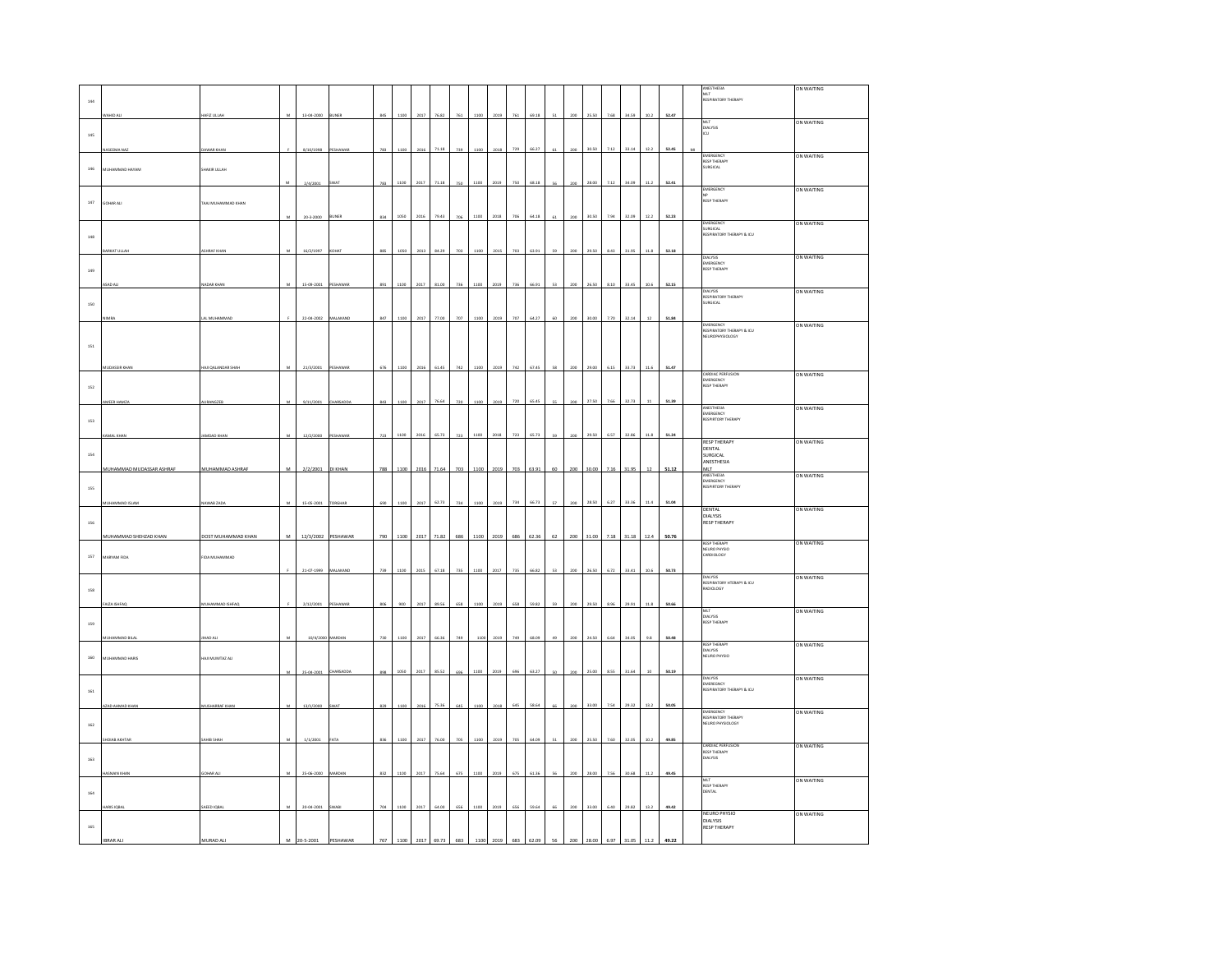|         |                          |                       |              |             |                 |     |      |      |       |     |      |      |     |       |    |     |       |      |       |             |       |    | ANESTHESIA                                         | ON WAITING |
|---------|--------------------------|-----------------------|--------------|-------------|-----------------|-----|------|------|-------|-----|------|------|-----|-------|----|-----|-------|------|-------|-------------|-------|----|----------------------------------------------------|------------|
|         |                          |                       |              |             |                 |     |      |      |       |     |      |      |     |       |    |     |       |      |       |             |       |    | MLT<br>RESPIRATORY THERAPY                         |            |
| 144     |                          |                       |              |             |                 |     |      |      |       |     |      |      |     |       |    |     |       |      |       |             |       |    |                                                    |            |
|         | AHID AL                  | AFIZ ULLAH            |              | 13-04-2000  | UNER            | 845 |      |      |       |     |      |      |     | 69.18 |    |     | 25.50 | 7.68 | 34.59 | 10.2        | 52.47 |    | MLT                                                | ON WAITING |
|         |                          |                       |              |             |                 |     |      |      |       |     |      |      |     |       |    |     |       |      |       |             |       |    | DIALYSIS                                           |            |
| $145\,$ |                          |                       |              |             |                 |     |      |      |       |     |      |      |     |       |    |     |       |      |       |             |       |    | CU                                                 |            |
|         | <b>IASEEMA NAZ</b>       | AWAR KHAN             |              | 8/10/1998   | <b>PESHAWAR</b> | 783 | 1100 | 2016 | 71.18 | 739 | 1100 | 2018 | 729 | 66.27 | 61 | 200 | 30.50 | 7.12 | 33.14 | 12.2        | 52.45 | MI |                                                    |            |
|         |                          |                       |              |             |                 |     |      |      |       |     |      |      |     |       |    |     |       |      |       |             |       |    | EMERGENCY<br>RESP THERAPY<br>SURGICAL              | ON WAITING |
| 146     | MUHAMMAD HAYAM           | SHAKIR ULLAH          |              |             |                 |     |      |      |       |     |      |      |     |       |    |     |       |      |       |             |       |    |                                                    |            |
|         |                          |                       |              |             |                 |     |      |      |       |     |      |      |     |       |    |     |       |      |       |             |       |    |                                                    |            |
|         |                          |                       |              | 2/4/2001    | <b>SWAT</b>     | 783 | 1100 | 2017 |       |     |      |      |     |       |    |     | 28.00 | 7.1  | 34.09 | 11.2        | 52.41 |    | EMERGENCY                                          | ON WAITING |
|         |                          |                       |              |             |                 |     |      |      |       |     |      |      |     |       |    |     |       |      |       |             |       |    | ΝP<br><b>RESP THERAPY</b>                          |            |
| $147\,$ | GOHAR ALI                | TAAJ MUHAMMAD KHAN    |              |             |                 |     |      |      |       |     |      |      |     |       |    |     |       |      |       |             |       |    |                                                    |            |
|         |                          |                       |              | 20-3-2000   | <b>BUNER</b>    | 834 | 1050 | 2016 | 79.43 | 706 | 1100 | 2018 | 706 | 64.18 |    | 200 | 30.50 | 7.94 | 32.09 | 12.2        | 52.23 |    |                                                    |            |
|         |                          |                       |              |             |                 |     |      |      |       |     |      |      |     |       |    |     |       |      |       |             |       |    | EMERGENCY<br><b>SURGICAL</b>                       | ON WAITING |
| 148     |                          |                       |              |             |                 |     |      |      |       |     |      |      |     |       |    |     |       |      |       |             |       |    | RESPIRATORY THERAPY & ICU                          |            |
|         |                          |                       |              |             |                 |     |      |      |       |     |      |      |     |       |    |     |       |      |       |             |       |    |                                                    |            |
|         | KAT ULL                  | HRAF KHA              |              | 16/2/1997   |                 |     |      |      |       |     |      |      | 703 | 63.91 |    |     | 29.50 | 8.43 | 31.95 | 11.8        | 52.18 |    | <b>DIALYSIS</b>                                    | ON WAITING |
|         |                          |                       |              |             |                 |     |      |      |       |     |      |      |     |       |    |     |       |      |       |             |       |    | EMERGENCY<br><b>RESP THERAPY</b>                   |            |
| 149     |                          |                       |              |             |                 |     |      |      |       |     |      |      |     |       |    |     |       |      |       |             |       |    |                                                    |            |
|         |                          | <b>ADAR KHAN</b>      |              | 15-09-2001  | PESHAWAR        | 891 | 1100 | 2017 | 81.00 | 736 | 1100 | 2019 | 736 | 66.91 |    | 200 | 26.50 | 8.10 | 33.45 | 10.6        | 52.15 |    |                                                    |            |
|         |                          |                       |              |             |                 |     |      |      |       |     |      |      |     |       |    |     |       |      |       |             |       |    | <b>DIALYSIS</b>                                    | ON WAITING |
| 150     |                          |                       |              |             |                 |     |      |      |       |     |      |      |     |       |    |     |       |      |       |             |       |    | RESPIRATORY THERAPY<br>SURGICAL                    |            |
|         |                          |                       |              |             |                 |     |      |      |       |     |      |      |     |       |    |     |       |      |       |             |       |    |                                                    |            |
|         |                          | AL MUHAMMAD           |              | 22-04-2002  | MALAKAND        | 847 | 1100 | 2017 | 77.00 |     |      | 2019 | 707 | 64.27 |    | 200 | 30.00 | 7.70 | 32.14 | $12\,$      | 51.84 |    |                                                    | ON WAITING |
|         |                          |                       |              |             |                 |     |      |      |       |     |      |      |     |       |    |     |       |      |       |             |       |    | EMERGENCY<br>RESPIRATORY THERAPY & ICU             |            |
|         |                          |                       |              |             |                 |     |      |      |       |     |      |      |     |       |    |     |       |      |       |             |       |    | NEUROPHYSIOLOGY                                    |            |
| 151     |                          |                       |              |             |                 |     |      |      |       |     |      |      |     |       |    |     |       |      |       |             |       |    |                                                    |            |
|         |                          |                       |              |             |                 |     |      |      |       |     |      |      |     |       |    |     |       |      |       |             |       |    |                                                    |            |
|         | <b>UDASSIR KHA</b>       | UI QALANDAR SHAH      |              | 21/3/2001   | ESHAWA          | 676 | 1100 |      |       |     |      | 2019 | 742 | 67.45 |    |     | 29.00 | 6.15 | 33.73 | 11.6        | 51.47 |    | CARDIAC PERFUSION                                  | ON WAITING |
|         |                          |                       |              |             |                 |     |      |      |       |     |      |      |     |       |    |     |       |      |       |             |       |    | EMERGENCY                                          |            |
| 152     |                          |                       |              |             |                 |     |      |      |       |     |      |      |     |       |    |     |       |      |       |             |       |    | <b>RESP THERAPY</b>                                |            |
|         | MEER HAMZA               | RANGZE                |              | 9/11/2001   | CHARSADD.       | 843 |      |      |       |     |      |      |     |       |    |     |       | 7.61 |       |             | 51.39 |    |                                                    |            |
|         |                          |                       |              |             |                 |     |      |      |       |     |      |      |     |       |    |     |       |      |       |             |       |    | ANESTHESIA                                         | ON WAITING |
|         |                          |                       |              |             |                 |     |      |      |       |     |      |      |     |       |    |     |       |      |       |             |       |    | EMERGENCY<br>RESPIRTORY THERAPY                    |            |
| $153\,$ |                          |                       |              |             |                 |     |      |      |       |     |      |      |     |       |    |     |       |      |       |             |       |    |                                                    |            |
|         | MAL KHAN                 | MDAD KHAN             | $\mathbf{M}$ | 12/2/2000   | PESHAWAR        | 723 | 1100 | 2016 | 65.73 | 723 | 1100 | 2018 | 723 | 65.73 | 59 | 200 | 29.50 | 6.57 | 32.86 | 11.8        | 51.24 |    |                                                    |            |
|         |                          |                       |              |             |                 |     |      |      |       |     |      |      |     |       |    |     |       |      |       |             |       |    | RESP THERAPY<br>DENTAL                             | ON WAITING |
| 154     |                          |                       |              |             |                 |     |      |      |       |     |      |      |     |       |    |     |       |      |       |             |       |    | SURGICAL                                           |            |
|         |                          |                       |              |             |                 |     |      |      |       |     |      |      |     |       |    |     |       |      |       |             |       |    | ANESTHESIA                                         |            |
|         |                          |                       |              |             |                 |     |      |      |       |     |      |      |     |       |    |     |       |      |       |             |       |    |                                                    |            |
|         | MUHAMMAD MUDASSAR ASHRAF | MUHAMMAD ASHRAF       | M            | 2/2/2001    | DI KHAN         | 788 | 1100 | 2016 | 71.64 | 703 | 1100 | 2019 | 703 | 63.91 | 60 | 200 | 30.00 | 7.16 | 31.95 | 12          | 51.12 |    | MLT                                                |            |
|         |                          |                       |              |             |                 |     |      |      |       |     |      |      |     |       |    |     |       |      |       |             |       |    | ANESTHESIA<br>EMERGENCY                            | ON WAITING |
| 155     |                          |                       |              |             |                 |     |      |      |       |     |      |      |     |       |    |     |       |      |       |             |       |    | RESPIRTORY THERAPY                                 |            |
|         | HAMMAD ISLAM             |                       |              |             | ORGHAP          | 690 | 1100 | 2017 | 62.73 | 734 | 1100 | 2019 | 736 | 66.73 | 52 | 200 | 28.50 | 6.27 | 33.36 |             |       |    |                                                    |            |
|         |                          | WAB ZADA              |              | 15-05-2001  |                 |     |      |      |       |     |      |      |     |       |    |     |       |      |       | 11.4        | 51.04 |    | DENTAL                                             | ON WAITING |
| 156     |                          |                       |              |             |                 |     |      |      |       |     |      |      |     |       |    |     |       |      |       |             |       |    | DIALYSIS<br><b>RESP THERAPY</b>                    |            |
|         |                          |                       |              |             |                 |     |      |      |       |     |      |      |     |       |    |     |       |      |       |             |       |    |                                                    |            |
|         | MUHAMMAD SHEHZAD KHAN    | DOST MUHAMMAD KHAN    | M            | 12/3/2002   | PESHAWAR        | 790 | 1100 | 2017 |       | 686 |      |      | 686 | 52.36 |    | 200 | 31.00 | 7.18 | 31.18 | 12.4        | 50.76 |    | <b>RESP THERAPY</b>                                |            |
|         |                          |                       |              |             |                 |     |      |      |       |     |      |      |     |       |    |     |       |      |       |             |       |    |                                                    | ON WAITING |
| 157     | MARYAM FIDA              | IDA MUHAMMAD          |              |             |                 |     |      |      |       |     |      |      |     |       |    |     |       |      |       |             |       |    | NEURO PHYSIO<br>CARDIOLOGY                         |            |
|         |                          |                       |              | 21-07-1999  |                 |     |      |      |       |     |      |      |     |       |    |     |       |      |       |             | 50.73 |    |                                                    |            |
|         |                          |                       |              |             |                 |     |      |      |       |     |      |      |     |       |    |     |       |      |       |             |       |    |                                                    | ON WAITING |
|         |                          |                       |              |             |                 |     |      |      |       |     |      |      |     |       |    |     |       |      |       |             |       |    | DIALYSIS<br>RESPIRATORY HTERAPY & ICU<br>RADIOLOGY |            |
| 158     |                          |                       |              |             |                 |     |      |      |       |     |      |      |     |       |    |     |       |      |       |             |       |    |                                                    |            |
|         | <b>NZA ISHFAC</b>        | UHAMMAD ISHFAC        |              | 2/12/2001   | PESHAWA         |     | 900  | 2017 | 89.56 | 658 |      | 2019 | 658 | 59.82 |    | 20f | 29.50 | 8.96 | 29.91 | 11.8        | 50.66 |    |                                                    |            |
|         |                          |                       |              |             |                 |     |      |      |       |     |      |      |     |       |    |     |       |      |       |             |       |    |                                                    | ON WAITING |
| 159     |                          |                       |              |             |                 |     |      |      |       |     |      |      |     |       |    |     |       |      |       |             |       |    | MLT<br>DIALYSIS<br>RESP THERAPY                    |            |
|         | <b>IUHAMMAD BILAL</b>    | HAD AL                |              |             | MARDAN          | 730 | 1100 | 2017 | 66.36 |     |      | 2019 | 749 | 68.09 |    | 200 | 24.50 | 6.64 | 34.05 | 9.8         | 50.48 |    |                                                    |            |
|         |                          |                       |              | 10/4/2000   |                 |     |      |      |       |     |      |      |     |       |    |     |       |      |       |             |       |    | <b>RESP THERAPY</b>                                | ON WAITING |
| 160     | MUHAMMAD HARIS           | HAILMUMTAZ ALI        |              |             |                 |     |      |      |       |     |      |      |     |       |    |     |       |      |       |             |       |    | DIALYSIS<br>NEURO PHYSIO                           |            |
|         |                          |                       |              |             |                 |     |      |      |       |     |      |      |     |       |    |     |       |      |       |             |       |    |                                                    |            |
|         |                          |                       |              | 25-04-2001  | HARSADDA        |     |      | 2017 | 85.57 |     |      |      |     | 63.2  |    |     | 25.00 | 8.55 | 31.64 | $^{\rm 10}$ | 50.19 |    |                                                    |            |
|         |                          |                       |              |             |                 |     |      |      |       |     |      |      |     |       |    |     |       |      |       |             |       |    | DIALYSIS<br>EMEREGNCY                              | ON WAITING |
| 161     |                          |                       |              |             |                 |     |      |      |       |     |      |      |     |       |    |     |       |      |       |             |       |    | RESPIRATORY THERAPY & ICU                          |            |
|         | AH GAHMAD KAN            | <b>IUSHARRAF KHAI</b> |              | 13/1/2000   | <b>WAT</b>      |     |      |      |       |     |      |      |     |       |    |     | 33.00 |      | 29.32 |             |       |    |                                                    |            |
|         |                          |                       |              |             |                 |     |      |      |       |     |      |      |     |       |    |     |       | 7.54 |       | 13.2        | 50.05 |    | <b>EMERGENCY</b>                                   | ON WAITING |
|         |                          |                       |              |             |                 |     |      |      |       |     |      |      |     |       |    |     |       |      |       |             |       |    |                                                    |            |
| $162\,$ |                          |                       |              |             |                 |     |      |      |       |     |      |      |     |       |    |     |       |      |       |             |       |    | RESPIRATORY THERAPY<br>NEURO PHYSIOLOGY            |            |
|         | <b>OIAR AKHTA</b>        | <b>HIB SH</b>         |              | 1/1/2001    | AT4             | 83  |      |      |       |     |      |      | 705 | 64.0  |    |     | 25.50 | 7.60 | 32.05 | 10.2        | 49.85 |    |                                                    |            |
|         |                          |                       |              |             |                 |     |      |      |       |     |      |      |     |       |    |     |       |      |       |             |       |    | CARDIAC PERFUSION<br>RESP THERAPY                  | ON WAITING |
| 163     |                          |                       |              |             |                 |     |      |      |       |     |      |      |     |       |    |     |       |      |       |             |       |    | DIALYSIS                                           |            |
|         |                          |                       |              |             |                 |     |      |      |       |     |      |      |     |       |    |     |       |      |       |             |       |    |                                                    |            |
|         | <b>SNAIN KHA</b>         | DHAR AL               |              | 25-06-2000  | MARDAN          | 832 | 1100 | 2017 | 75.64 |     | 1100 | 2019 | 675 |       |    |     | 28.00 | 7.56 | 30.68 | 11.2        | 49.45 |    |                                                    | ON WAITING |
|         |                          |                       |              |             |                 |     |      |      |       |     |      |      |     |       |    |     |       |      |       |             |       |    | <b>RESP THERAPY</b><br>DENTAL                      |            |
| 164     |                          |                       |              |             |                 |     |      |      |       |     |      |      |     |       |    |     |       |      |       |             |       |    |                                                    |            |
|         | RIS IQBA                 | <b>LEED IQBAL</b>     |              | 20-04-2001  | SWAB            | 704 | 1100 | 2017 | 64.00 | 656 | 1100 | 2019 | 656 | 59.64 |    | 200 | 33.00 | 6.40 | 29.82 | 13.2        | 49.42 |    |                                                    |            |
|         |                          |                       |              |             |                 |     |      |      |       |     |      |      |     |       |    |     |       |      |       |             |       |    | <b>NEURO PHYSIO</b>                                | ON WAITING |
| 165     |                          |                       |              |             |                 |     |      |      |       |     |      |      |     |       |    |     |       |      |       |             |       |    | DIALYSIS<br><b>RESP THERAPY</b>                    |            |
|         | <b>IBRAR ALI</b>         | MURAD ALI             |              | M 20-5-2001 | PESHAWAR        | 767 |      |      |       |     |      |      |     |       |    |     |       | 6.97 | 31.05 | 11.2        | 49.22 |    |                                                    |            |